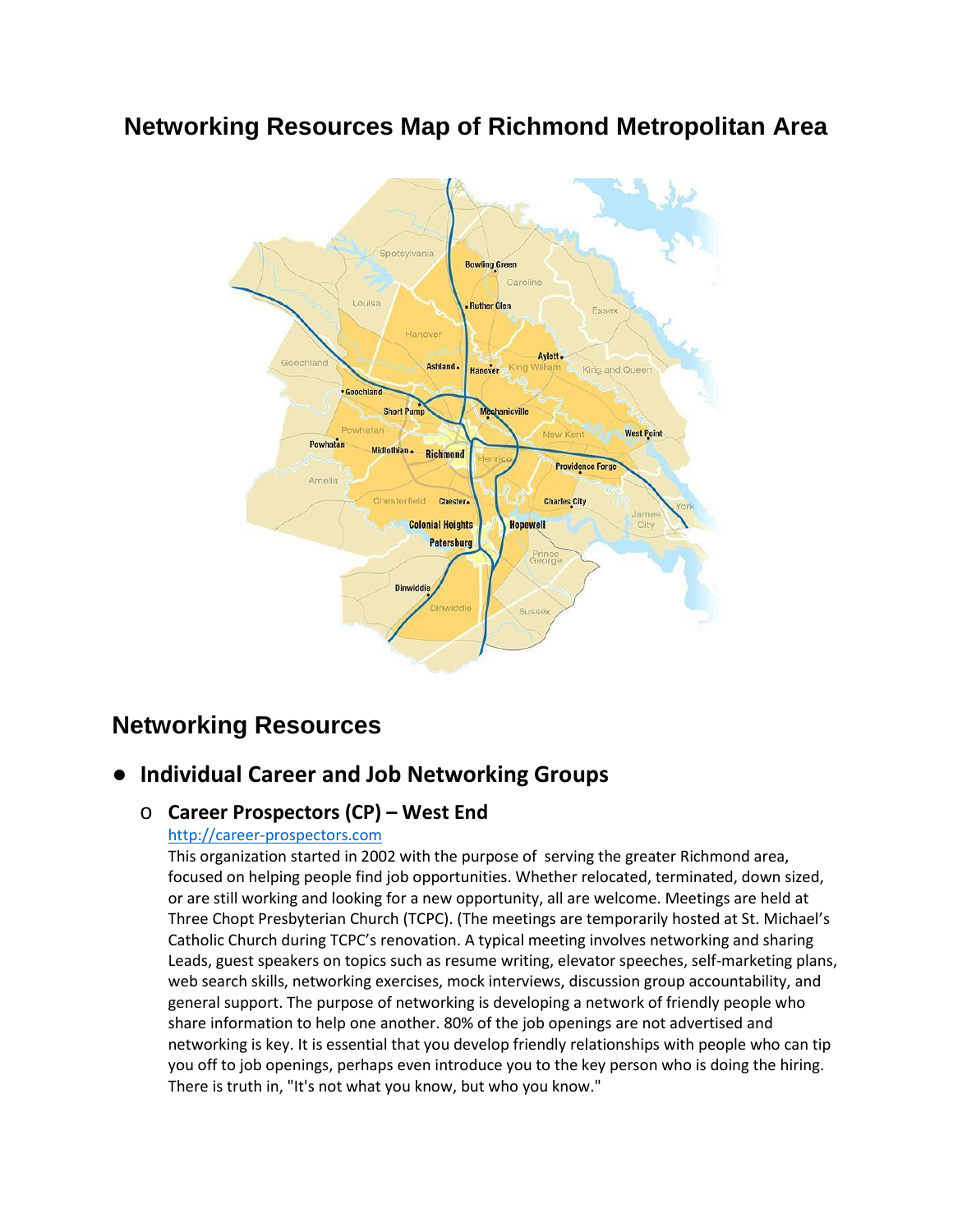# **Networking Resources Map of Richmond Metropolitan Area**



# **Networking Resources**

# ● **Individual Career and Job Networking Groups**

# o **Career Prospectors (CP) – West End**

## [http://career-prospectors.com](http://career-prospectors.com/)

This organization started in 2002 with the purpose of serving the greater Richmond area, focused on helping people find job opportunities. Whether relocated, terminated, down sized, or are still working and looking for a new opportunity, all are welcome. Meetings are held at Three Chopt Presbyterian Church (TCPC). (The meetings are temporarily hosted at St. Michael's Catholic Church during TCPC's renovation. A typical meeting involves networking and sharing Leads, guest speakers on topics such as resume writing, elevator speeches, self-marketing plans, web search skills, networking exercises, mock interviews, discussion group accountability, and general support. The purpose of networking is developing a network of friendly people who share information to help one another. 80% of the job openings are not advertised and networking is key. It is essential that you develop friendly relationships with people who can tip you off to job openings, perhaps even introduce you to the key person who is doing the hiring. There is truth in, "It's not what you know, but who you know."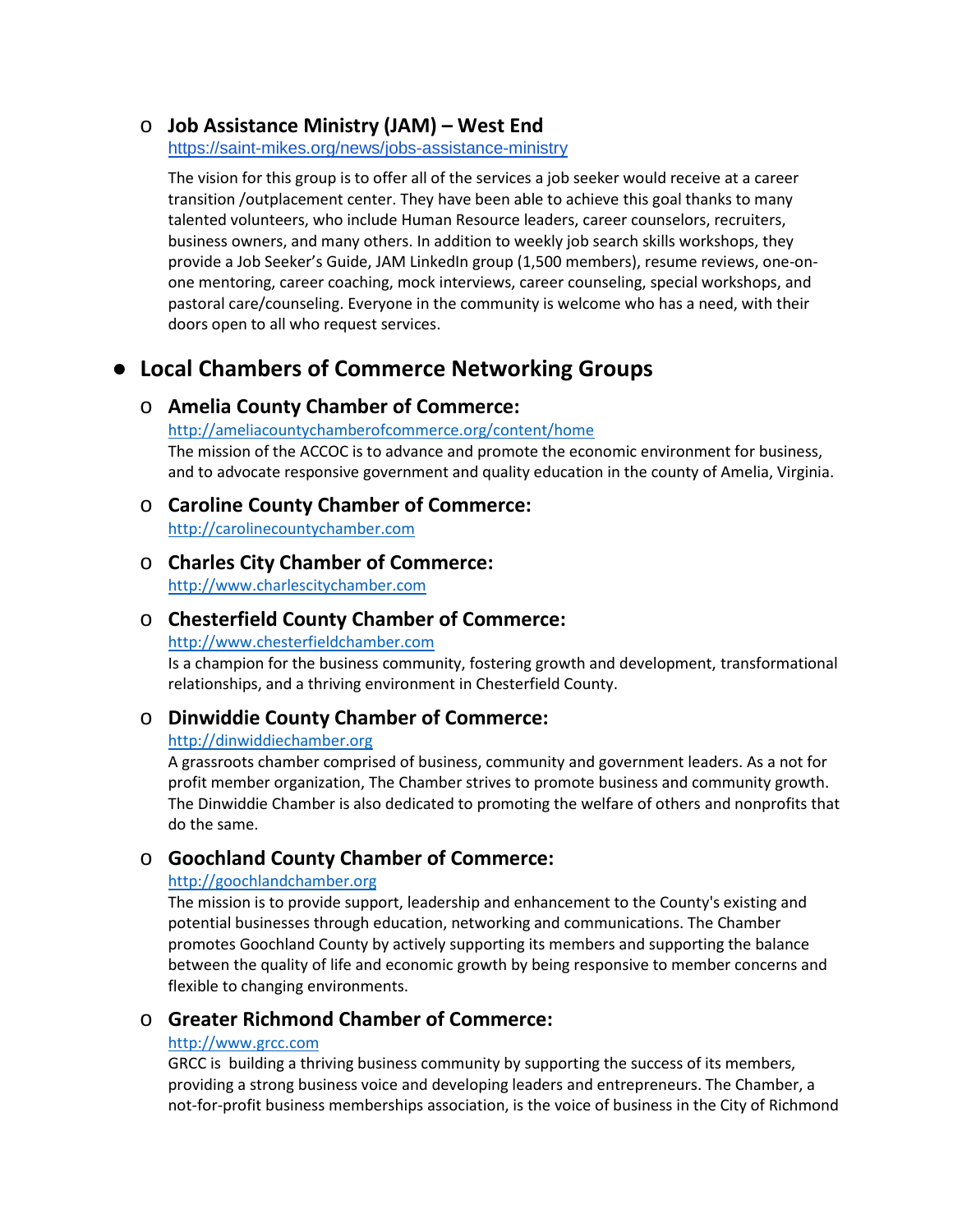### o **Job Assistance Ministry (JAM) – West End**

<https://saint-mikes.org/news/jobs-assistance-ministry>

The vision for this group is to offer all of the services a job seeker would receive at a career transition /outplacement center. They have been able to achieve this goal thanks to many talented volunteers, who include Human Resource leaders, career counselors, recruiters, business owners, and many others. In addition to weekly job search skills workshops, they provide a Job Seeker's Guide, JAM LinkedIn group (1,500 members), resume reviews, one-onone mentoring, career coaching, mock interviews, career counseling, special workshops, and pastoral care/counseling. Everyone in the community is welcome who has a need, with their doors open to all who request services.

# ● **Local Chambers of Commerce Networking Groups**

### o **Amelia County Chamber of Commerce:**

<http://ameliacountychamberofcommerce.org/content/home> The mission of the ACCOC is to advance and promote the economic environment for business, and to advocate responsive government and quality education in the county of Amelia, Virginia.

# o **Caroline County Chamber of Commerce:**

[http://carolinecountychamber.com](http://carolinecountychamber.com/)

# o **Charles City Chamber of Commerce:**

[http://www.charlescitychamber.com](http://www.charlescitychamber.com/)

### o **Chesterfield County Chamber of Commerce:**

### [http://www.chesterfieldchamber.com](http://www.chesterfieldchamber.com/)

Is a champion for the business community, fostering growth and development, transformational relationships, and a thriving environment in Chesterfield County.

## o **Dinwiddie County Chamber of Commerce:**

#### [http://dinwiddiechamber.org](http://dinwiddiechamber.org/)

A grassroots chamber comprised of business, community and government leaders. As a not for profit member organization, The Chamber strives to promote business and community growth. The Dinwiddie Chamber is also dedicated to promoting the welfare of others and nonprofits that do the same.

# o **Goochland County Chamber of Commerce:**

#### [http://goochlandchamber.org](http://goochlandchamber.org/)

The mission is to provide support, leadership and enhancement to the County's existing and potential businesses through education, networking and communications. The Chamber promotes Goochland County by actively supporting its members and supporting the balance between the quality of life and economic growth by being responsive to member concerns and flexible to changing environments.

# o **Greater Richmond Chamber of Commerce:**

#### [http://www.grcc.com](http://www.grcc.com/)

GRCC is building a thriving business community by supporting the success of its members, providing a strong business voice and developing leaders and entrepreneurs. The Chamber, a not-for-profit business memberships association, is the voice of business in the City of Richmond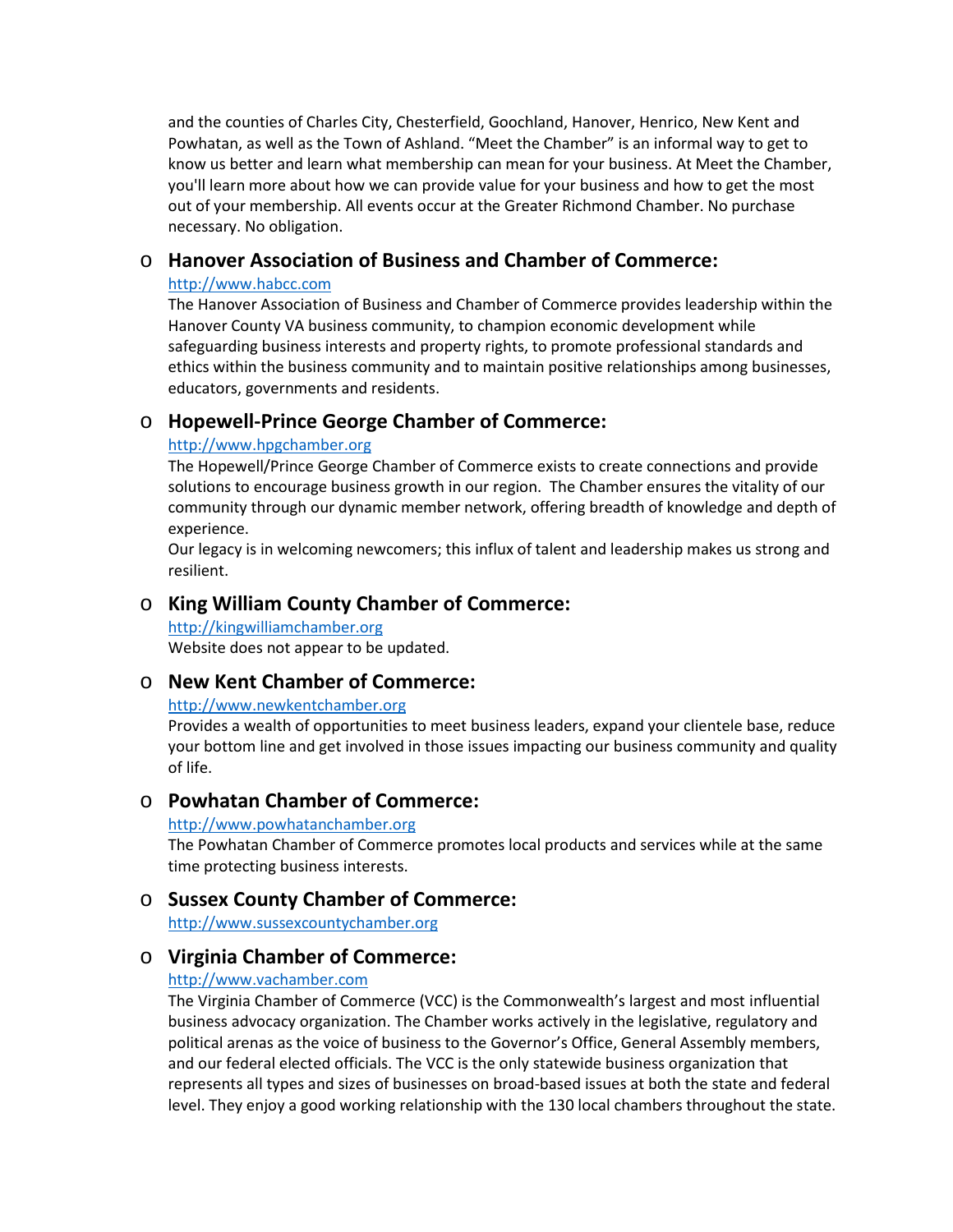and the counties of Charles City, Chesterfield, Goochland, Hanover, Henrico, New Kent and Powhatan, as well as the Town of Ashland. "Meet the Chamber" is an informal way to get to know us better and learn what membership can mean for your business. At Meet the Chamber, you'll learn more about how we can provide value for your business and how to get the most out of your membership. All events occur at the Greater Richmond Chamber. No purchase necessary. No obligation.

### o **Hanover Association of Business and Chamber of Commerce:**

#### [http://www.habcc.com](http://www.habcc.com/)

The Hanover Association of Business and Chamber of Commerce provides leadership within the Hanover County VA business community, to champion economic development while safeguarding business interests and property rights, to promote professional standards and ethics within the business community and to maintain positive relationships among businesses, educators, governments and residents.

# o **Hopewell-Prince George Chamber of Commerce:**

#### [http://www.hpgchamber.org](http://www.hpgchamber.org/)

The Hopewell/Prince George Chamber of Commerce exists to create connections and provide solutions to encourage business growth in our region. The Chamber ensures the vitality of our community through our dynamic member network, offering breadth of knowledge and depth of experience.

Our legacy is in welcoming newcomers; this influx of talent and leadership makes us strong and resilient.

### o **King William County Chamber of Commerce:**

[http://kingwilliamchamber.org](http://kingwilliamchamber.org/) Website does not appear to be updated.

### o **New Kent Chamber of Commerce:**

#### [http://www.newkentchamber.org](http://www.newkentchamber.org/)

Provides a wealth of opportunities to meet business leaders, expand your clientele base, reduce your bottom line and get involved in those issues impacting our business community and quality of life.

### o **Powhatan Chamber of Commerce:**

#### [http://www.powhatanchamber.org](http://www.powhatanchamber.org/)

The Powhatan Chamber of Commerce promotes local products and services while at the same time protecting business interests.

### o **Sussex County Chamber of Commerce:**

[http://www.sussexcountychamber.org](http://www.sussexcountychamber.org/)

## o **Virginia Chamber of Commerce:**

#### [http://www.vachamber.com](http://www.vachamber.com/)

The Virginia Chamber of Commerce (VCC) is the Commonwealth's largest and most influential business advocacy organization. The Chamber works actively in the legislative, regulatory and political arenas as the voice of business to the Governor's Office, General Assembly members, and our federal elected officials. The VCC is the only statewide business organization that represents all types and sizes of businesses on broad-based issues at both the state and federal level. They enjoy a good working relationship with the 130 local chambers throughout the state.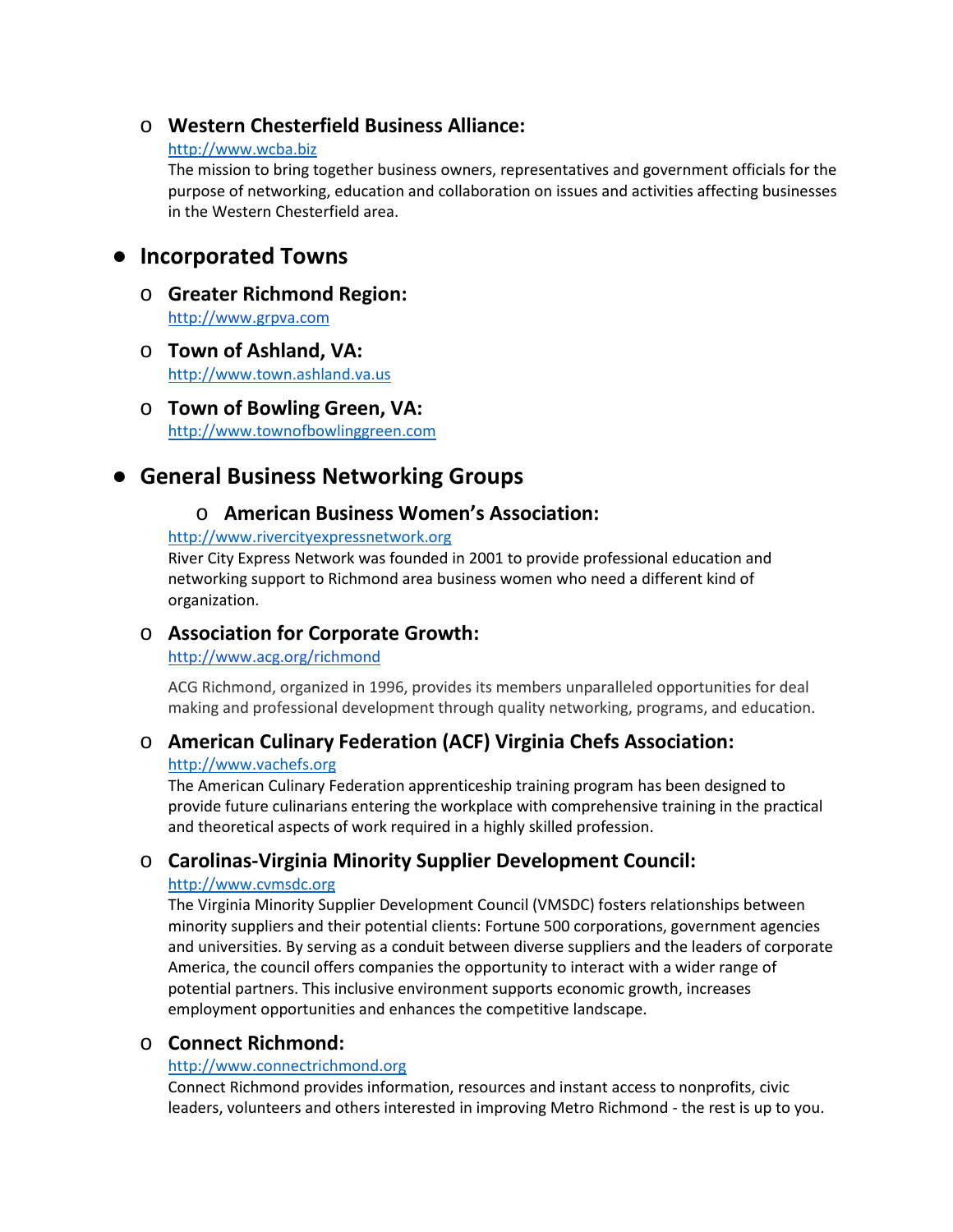## o **Western Chesterfield Business Alliance:**

#### [http://www.wcba.biz](http://www.wcba.biz/)

The mission to bring together business owners, representatives and government officials for the purpose of networking, education and collaboration on issues and activities affecting businesses in the Western Chesterfield area.

# ● **Incorporated Towns**

- o **Greater Richmond Region:** [http://www.grpva.com](http://www.grpva.com/)
- o **Town of Ashland, VA:** [http://www.town.ashland.va.us](http://www.town.ashland.va.us/)
- o **Town of Bowling Green, VA:** [http://www.townofbowlinggreen.com](http://www.townofbowlinggreen.com/)

# ● **General Business Networking Groups**

## o **American Business Women's Association:**

#### [http://www.rivercityexpressnetwork.org](http://www.rivercityexpressnetwork.org/)

River City Express Network was founded in 2001 to provide professional education and networking support to Richmond area business women who need a different kind of organization.

## o **Association for Corporate Growth:**

### <http://www.acg.org/richmond>

ACG Richmond, organized in 1996, provides its members unparalleled opportunities for deal making and professional development through quality networking, programs, and education.

## o **American Culinary Federation (ACF) Virginia Chefs Association:**

#### [http://www.vachefs.org](http://www.vachefs.org/)

The American Culinary Federation apprenticeship training program has been designed to provide future culinarians entering the workplace with comprehensive training in the practical and theoretical aspects of work required in a highly skilled profession.

# o **Carolinas-Virginia Minority Supplier Development Council:**

### [http://www.cvmsdc.org](http://www.cvmsdc.org/)

The Virginia Minority Supplier Development Council (VMSDC) fosters relationships between minority suppliers and their potential clients: Fortune 500 corporations, government agencies and universities. By serving as a conduit between diverse suppliers and the leaders of corporate America, the council offers companies the opportunity to interact with a wider range of potential partners. This inclusive environment supports economic growth, increases employment opportunities and enhances the competitive landscape.

## o **Connect Richmond:**

### [http://www.connectrichmond.org](http://www.connectrichmond.org/)

Connect Richmond provides information, resources and instant access to nonprofits, civic leaders, volunteers and others interested in improving Metro Richmond - the rest is up to you.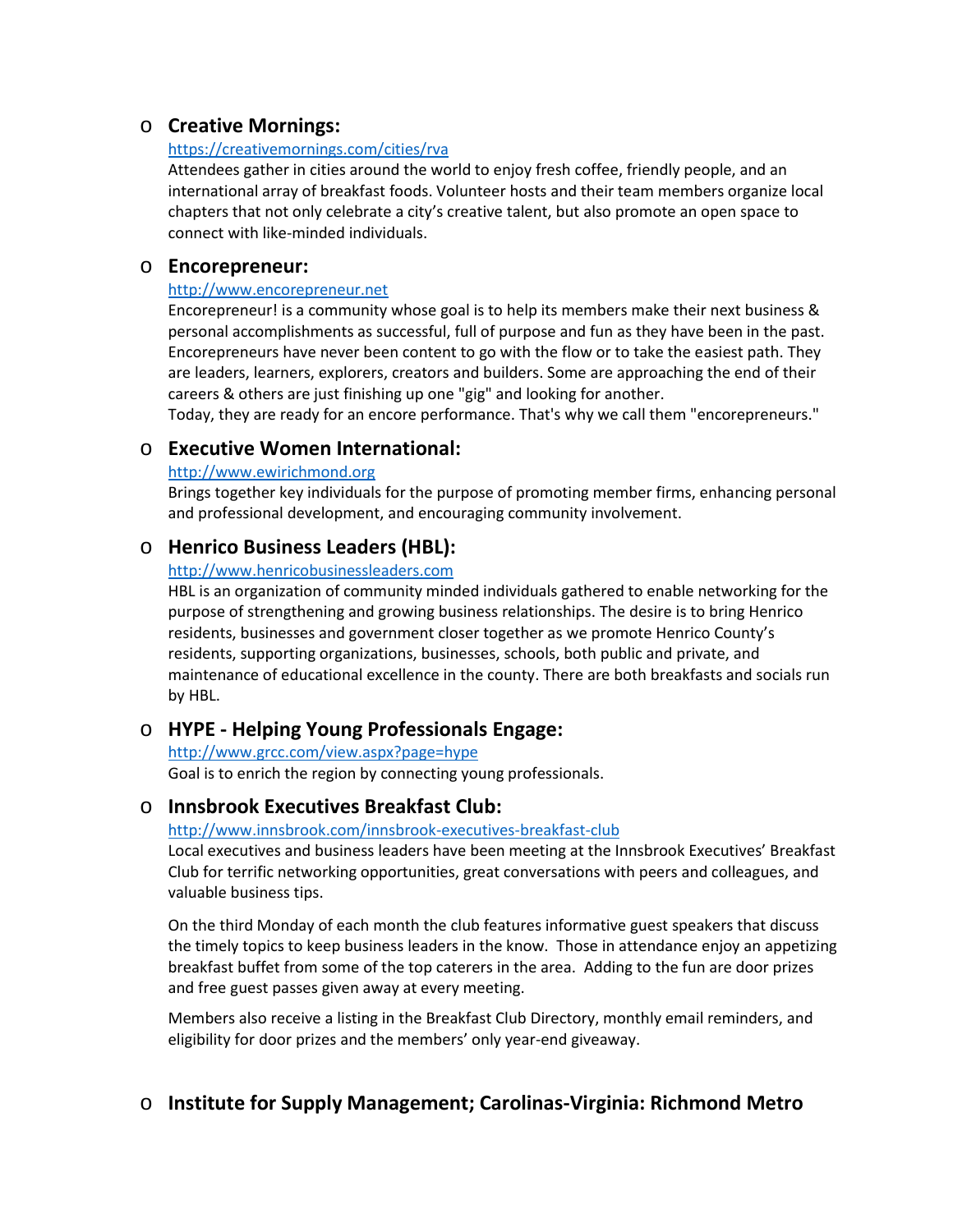## o **Creative Mornings:**

#### <https://creativemornings.com/cities/rva>

Attendees gather in cities around the world to enjoy fresh coffee, friendly people, and an international array of breakfast foods. Volunteer hosts and their team members organize local chapters that not only celebrate a city's creative talent, but also promote an open space to connect with like-minded individuals.

#### o **Encorepreneur:**

#### [http://www.encorepreneur.net](http://www.encorepreneur.net/)

Encorepreneur! is a community whose goal is to help its members make their next business & personal accomplishments as successful, full of purpose and fun as they have been in the past. Encorepreneurs have never been content to go with the flow or to take the easiest path. They are leaders, learners, explorers, creators and builders. Some are approaching the end of their careers & others are just finishing up one "gig" and looking for another.

Today, they are ready for an encore performance. That's why we call them "encorepreneurs."

### o **Executive Women International:**

#### [http://www.ewirichmond.org](http://www.ewirichmond.org/)

Brings together key individuals for the purpose of promoting member firms, enhancing personal and professional development, and encouraging community involvement.

### o **Henrico Business Leaders (HBL):**

#### [http://www.henricobusinessleaders.com](http://www.henricobusinessleaders.com/)

HBL is an organization of community minded individuals gathered to enable networking for the purpose of strengthening and growing business relationships. The desire is to bring Henrico residents, businesses and government closer together as we promote Henrico County's residents, supporting organizations, businesses, schools, both public and private, and maintenance of educational excellence in the county. There are both breakfasts and socials run by HBL.

## o **HYPE - Helping Young Professionals Engage:**

<http://www.grcc.com/view.aspx?page=hype> Goal is to enrich the region by connecting young professionals.

## o **Innsbrook Executives Breakfast Club:**

#### <http://www.innsbrook.com/innsbrook-executives-breakfast-club>

Local executives and business leaders have been meeting at the Innsbrook Executives' Breakfast Club for terrific networking opportunities, great conversations with peers and colleagues, and valuable business tips.

On the third Monday of each month the club features informative guest speakers that discuss the timely topics to keep business leaders in the know. Those in attendance enjoy an appetizing breakfast buffet from some of the top caterers in the area. Adding to the fun are door prizes and free guest passes given away at every meeting.

Members also receive a listing in the Breakfast Club Directory, monthly email reminders, and eligibility for door prizes and the members' only year-end giveaway.

# o **Institute for Supply Management; Carolinas-Virginia: Richmond Metro**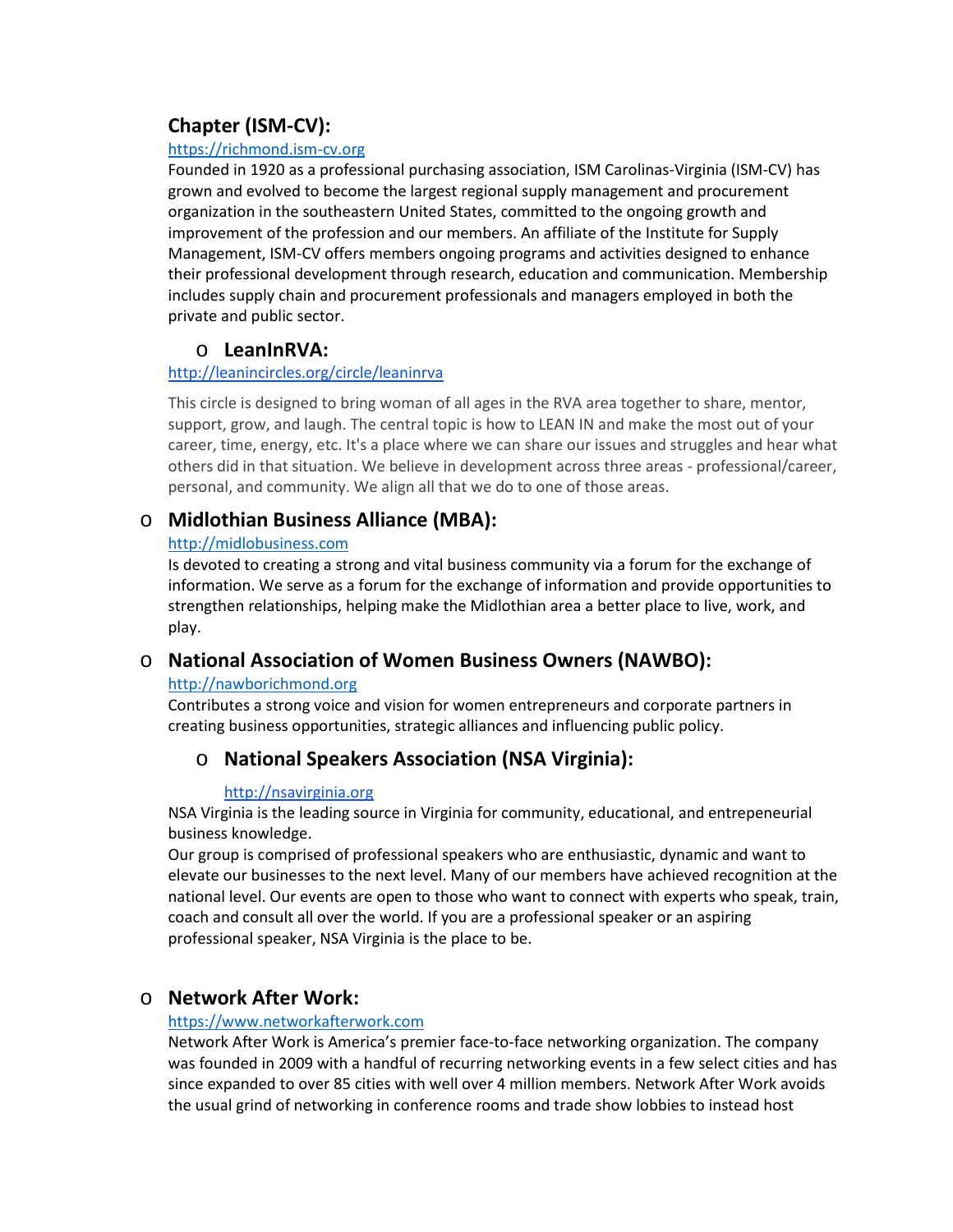# **Chapter (ISM-CV):**

#### [https://richmond.ism-cv.org](https://richmond.ism-cv.org/)

Founded in 1920 as a professional purchasing association, ISM Carolinas-Virginia (ISM-CV) has grown and evolved to become the largest regional supply management and procurement organization in the southeastern United States, committed to the ongoing growth and improvement of the profession and our members. An affiliate of the Institute for Supply Management, ISM-CV offers members ongoing programs and activities designed to enhance their professional development through research, education and communication. Membership includes supply chain and procurement professionals and managers employed in both the private and public sector.

# o **LeanInRVA:**

### <http://leanincircles.org/circle/leaninrva>

This circle is designed to bring woman of all ages in the RVA area together to share, mentor, support, grow, and laugh. The central topic is how to LEAN IN and make the most out of your career, time, energy, etc. It's a place where we can share our issues and struggles and hear what others did in that situation. We believe in development across three areas - professional/career, personal, and community. We align all that we do to one of those areas.

# o **Midlothian Business Alliance (MBA):**

### [http://midlobusiness.com](http://midlobusiness.com/)

Is devoted to creating a strong and vital business community via a forum for the exchange of information. We serve as a forum for the exchange of information and provide opportunities to strengthen relationships, helping make the Midlothian area a better place to live, work, and play.

# o **National Association of Women Business Owners (NAWBO):**

### [http://nawborichmond.org](http://nawborichmond.org/)

Contributes a strong voice and vision for women entrepreneurs and corporate partners in creating business opportunities, strategic alliances and influencing public policy.

# o **National Speakers Association (NSA Virginia):**

### [http://nsavirginia.org](http://nsavirginia.org/)

NSA Virginia is the leading source in Virginia for community, educational, and entrepeneurial business knowledge.

Our group is comprised of professional speakers who are enthusiastic, dynamic and want to elevate our businesses to the next level. Many of our members have achieved recognition at the national level. Our events are open to those who want to connect with experts who speak, train, coach and consult all over the world. If you are a professional speaker or an aspiring professional speaker, NSA Virginia is the place to be.

# o **Network After Work:**

### [https://www.networkafterwork.com](https://www.networkafterwork.com/)

Network After Work is America's premier face-to-face networking organization. The company was founded in 2009 with a handful of recurring networking events in a few select cities and has since expanded to over 85 cities with well over 4 million members. Network After Work avoids the usual grind of networking in conference rooms and trade show lobbies to instead host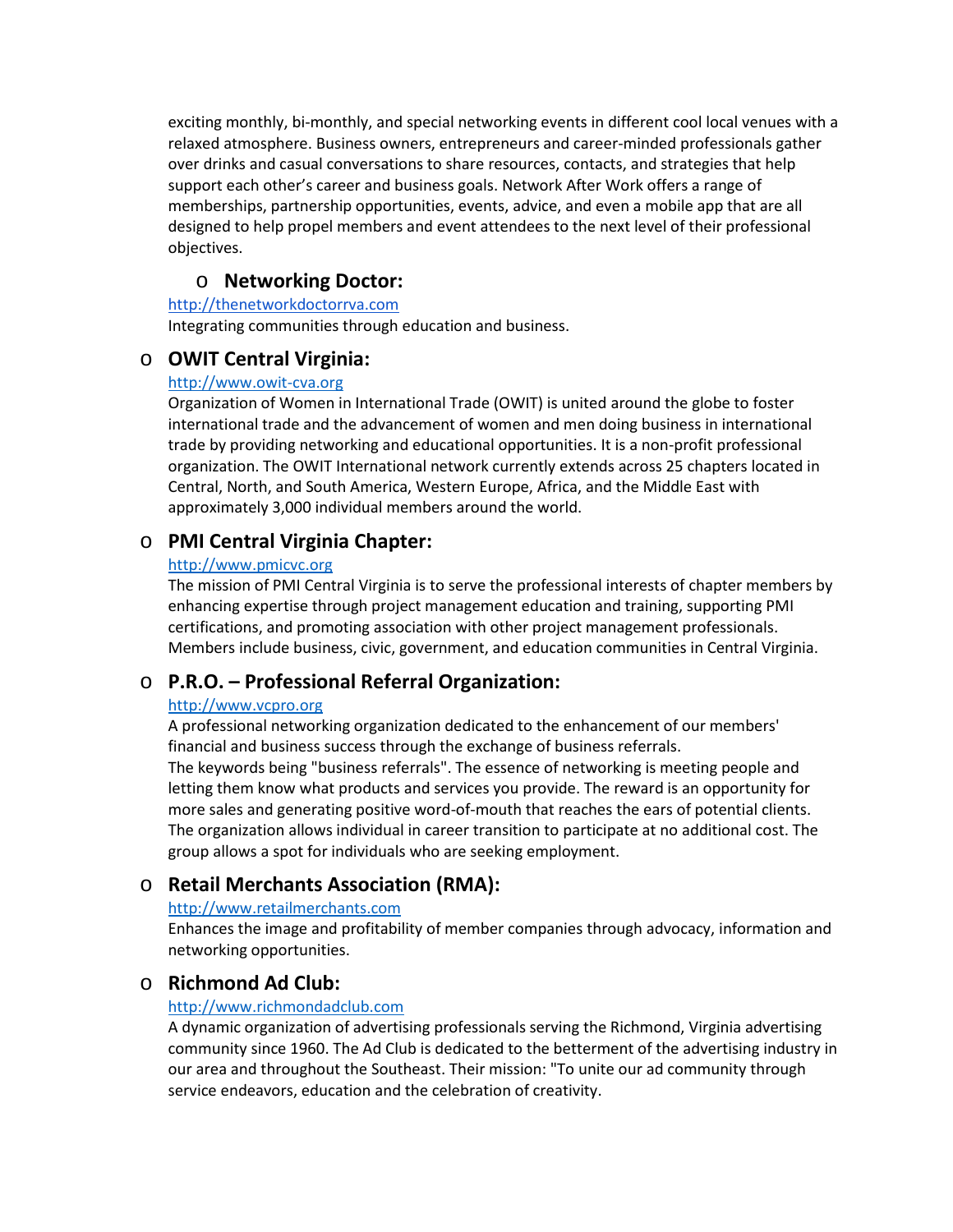exciting monthly, bi-monthly, and special networking events in different cool local venues with a relaxed atmosphere. Business owners, entrepreneurs and career-minded professionals gather over drinks and casual conversations to share resources, contacts, and strategies that help support each other's career and business goals. Network After Work offers a range of memberships, partnership opportunities, events, advice, and even a mobile app that are all designed to help propel members and event attendees to the next level of their professional objectives.

### o **Networking Doctor:**

#### [http://thenetworkdoctorrva.com](http://thenetworkdoctorrva.com/)

Integrating communities through education and business.

### o **OWIT Central Virginia:**

#### [http://www.owit-cva.org](http://www.owit-cva.org/)

Organization of Women in International Trade (OWIT) is united around the globe to foster international trade and the advancement of women and men doing business in international trade by providing networking and educational opportunities. It is a non-profit professional organization. The OWIT International network currently extends across 25 chapters located in Central, North, and South America, Western Europe, Africa, and the Middle East with approximately 3,000 individual members around the world.

## o **PMI Central Virginia Chapter:**

#### [http://www.pmicvc.org](http://www.pmicvc.org/)

The mission of PMI Central Virginia is to serve the professional interests of chapter members by enhancing expertise through project management education and training, supporting PMI certifications, and promoting association with other project management professionals. Members include business, civic, government, and education communities in Central Virginia.

## o **P.R.O. – Professional Referral Organization:**

#### [http://www.vcpro.org](http://www.vcpro.org/)

A professional networking organization dedicated to the enhancement of our members' financial and business success through the exchange of business referrals.

The keywords being "business referrals". The essence of networking is meeting people and letting them know what products and services you provide. The reward is an opportunity for more sales and generating positive word-of-mouth that reaches the ears of potential clients. The organization allows individual in career transition to participate at no additional cost. The group allows a spot for individuals who are seeking employment.

## o **Retail Merchants Association (RMA):**

#### [http://www.retailmerchants.com](http://www.retailmerchants.com/)

Enhances the image and profitability of member companies through advocacy, information and networking opportunities.

## o **Richmond Ad Club:**

#### [http://www.richmondadclub.com](http://www.richmondadclub.com/)

A dynamic organization of advertising professionals serving the Richmond, Virginia advertising community since 1960. The Ad Club is dedicated to the betterment of the advertising industry in our area and throughout the Southeast. Their mission: "To unite our ad community through service endeavors, education and the celebration of creativity.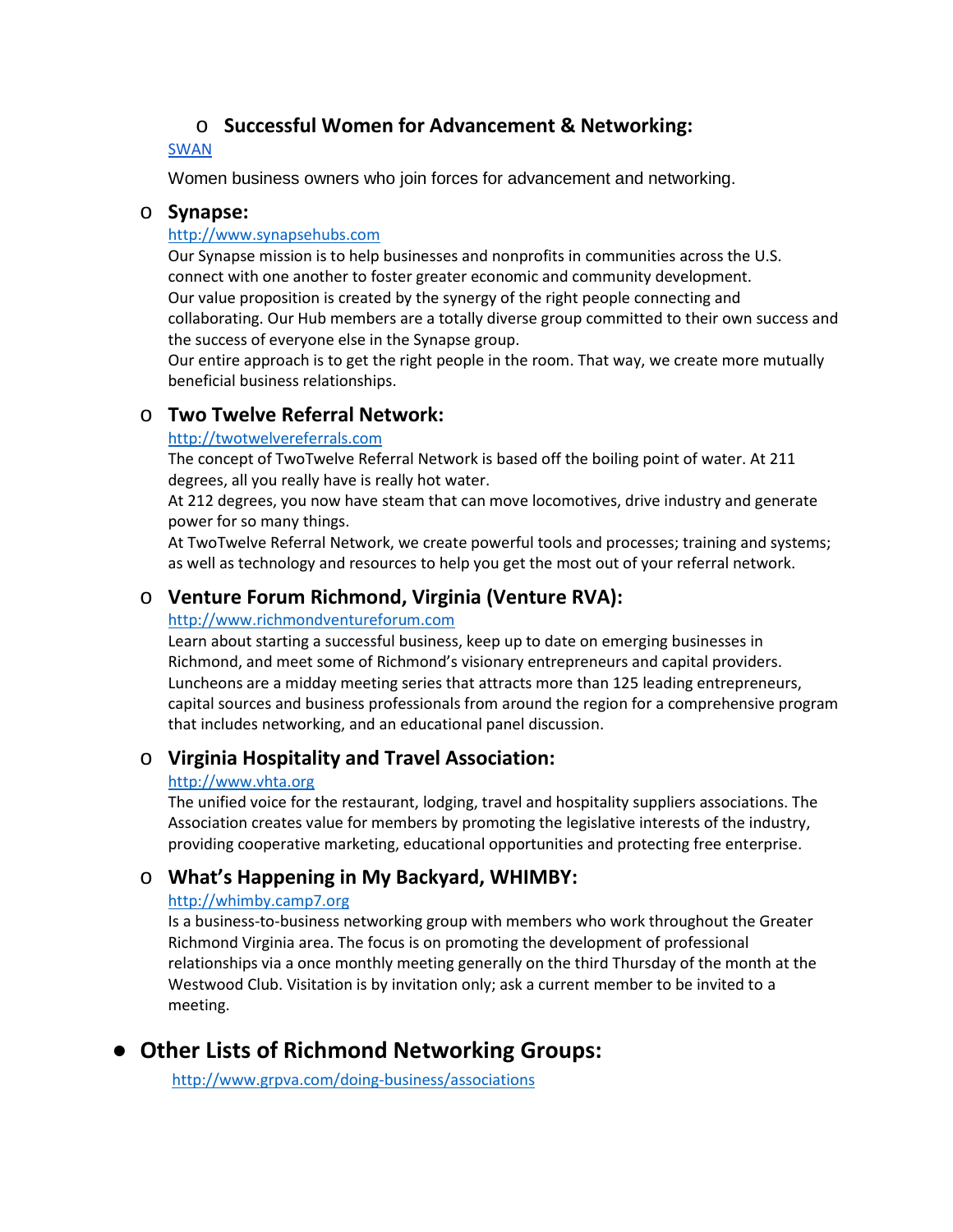# o **Successful Women for Advancement & Networking:**

### [SWAN](https://www.facebook.com/search/top/?q=swan%20-%20successful%20women%20for%20advancement%20%26%20networking)

Women business owners who join forces for advancement and networking.

### o **Synapse:**

#### [http://www.synapsehubs.com](http://www.synapsehubs.com/)

Our Synapse mission is to help businesses and nonprofits in communities across the U.S. connect with one another to foster greater economic and community development. Our value proposition is created by the synergy of the right people connecting and collaborating. Our Hub members are a totally diverse group committed to their own success and the success of everyone else in the Synapse group.

Our entire approach is to get the right people in the room. That way, we create more mutually beneficial business relationships.

## o **Two Twelve Referral Network:**

#### [http://twotwelvereferrals.com](http://twotwelvereferrals.com/)

The concept of TwoTwelve Referral Network is based off the boiling point of water. At 211 degrees, all you really have is really hot water.

At 212 degrees, you now have steam that can move locomotives, drive industry and generate power for so many things.

At TwoTwelve Referral Network, we create powerful tools and processes; training and systems; as well as technology and resources to help you get the most out of your referral network.

# o **Venture Forum Richmond, Virginia (Venture RVA):**

#### [http://www.richmondventureforum.com](http://www.richmondventureforum.com/)

Learn about starting a successful business, keep up to date on emerging businesses in Richmond, and meet some of Richmond's visionary entrepreneurs and capital providers. Luncheons are a midday meeting series that attracts more than 125 leading entrepreneurs, capital sources and business professionals from around the region for a comprehensive program that includes networking, and an educational panel discussion.

## o **Virginia Hospitality and Travel Association:**

#### [http://www.vhta.org](http://www.vhta.org/)

The unified voice for the restaurant, lodging, travel and hospitality suppliers associations. The Association creates value for members by promoting the legislative interests of the industry, providing cooperative marketing, educational opportunities and protecting free enterprise.

## o **What's Happening in My Backyard, WHIMBY:**

### [http://whimby.camp7.org](http://whimby.camp7.org/)

Is a business-to-business networking group with members who work throughout the Greater Richmond Virginia area. The focus is on promoting the development of professional relationships via a once monthly meeting generally on the third Thursday of the month at the Westwood Club. Visitation is by invitation only; ask a current member to be invited to a meeting.

# ● **Other Lists of Richmond Networking Groups:**

<http://www.grpva.com/doing-business/associations>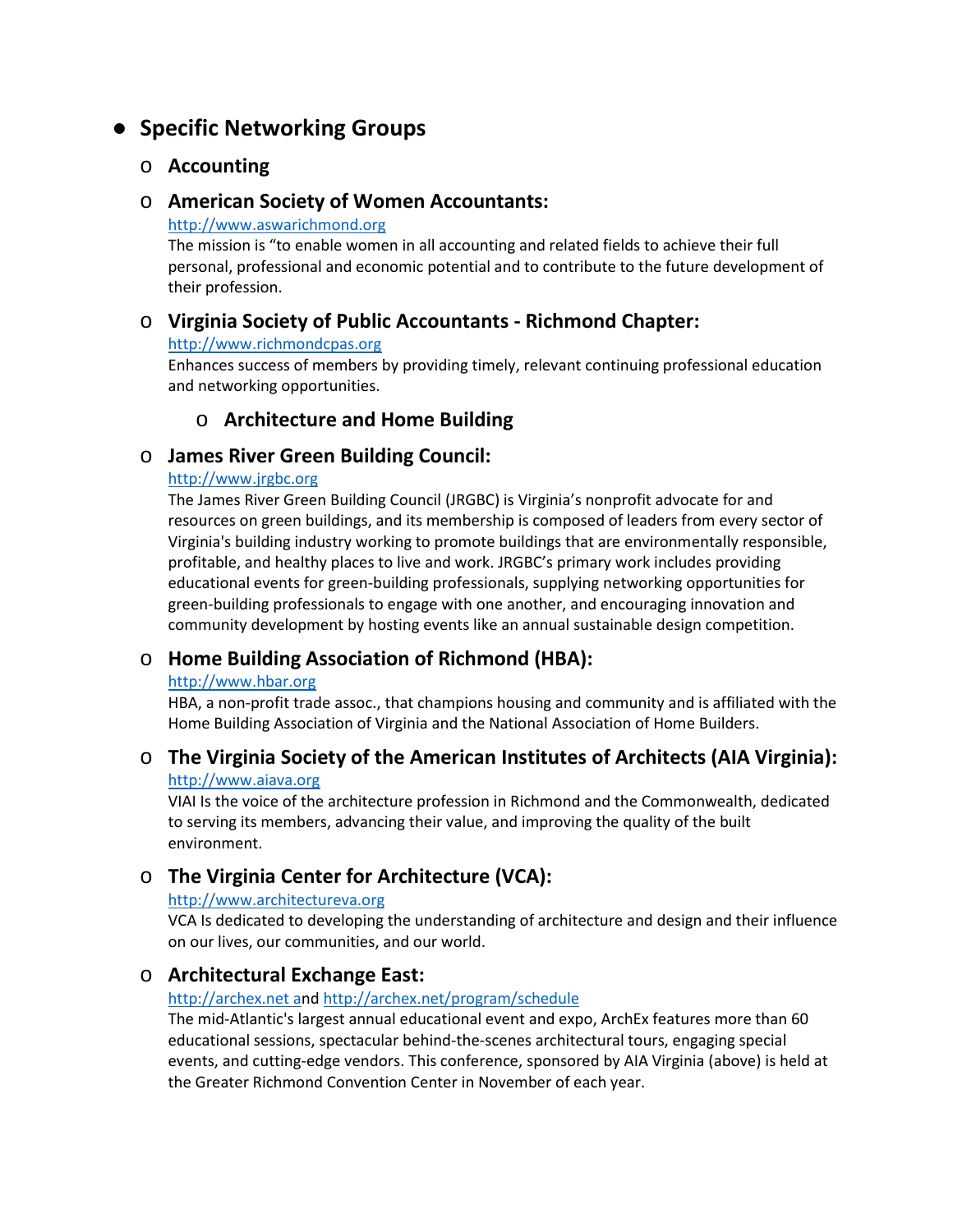# ● **Specific Networking Groups**

## o **Accounting**

### o **American Society of Women Accountants:**

[http://www.aswarichmond.org](http://www.aswarichmond.org/)

The mission is "to enable women in all accounting and related fields to achieve their full personal, professional and economic potential and to contribute to the future development of their profession.

# o **Virginia Society of Public Accountants - Richmond Chapter:**

#### [http://www.richmondcpas.org](http://www.richmondcpas.org/)

Enhances success of members by providing timely, relevant continuing professional education and networking opportunities.

# o **Architecture and Home Building**

# o **James River Green Building Council:**

### [http://www.jrgbc.org](http://www.jrgbc.org/)

The James River Green Building Council (JRGBC) is Virginia's nonprofit advocate for and resources on green buildings, and its membership is composed of leaders from every sector of Virginia's building industry working to promote buildings that are environmentally responsible, profitable, and healthy places to live and work. JRGBC's primary work includes providing educational events for green-building professionals, supplying networking opportunities for green-building professionals to engage with one another, and encouraging innovation and community development by hosting events like an annual sustainable design competition.

# o **Home Building Association of Richmond (HBA):**

### [http://www.hbar.org](http://www.hbar.org/)

HBA, a non-profit trade assoc., that champions housing and community and is affiliated with the Home Building Association of Virginia and the National Association of Home Builders.

# o **The Virginia Society of the American Institutes of Architects (AIA Virginia):**

#### [http://www.aiava.org](http://www.aiava.org/)

VIAI Is the voice of the architecture profession in Richmond and the Commonwealth, dedicated to serving its members, advancing their value, and improving the quality of the built environment.

# o **The Virginia Center for Architecture (VCA):**

### http:[//www.architectureva.org](http://www.architectureva.org/)

VCA Is dedicated to developing the understanding of architecture and design and their influence on our lives, our communities, and our world.

## o **Architectural Exchange East:**

### [http://archex.net an](http://archex.net/)[d http://archex.net/program/schedule](http://archex.net/program/schedule/)

The mid-Atlantic's largest annual educational event and expo, ArchEx features more than 60 educational sessions, spectacular behind-the-scenes architectural tours, engaging special events, and cutting-edge vendors. This conference, sponsored by AIA Virginia (above) is held at the Greater Richmond Convention Center in November of each year.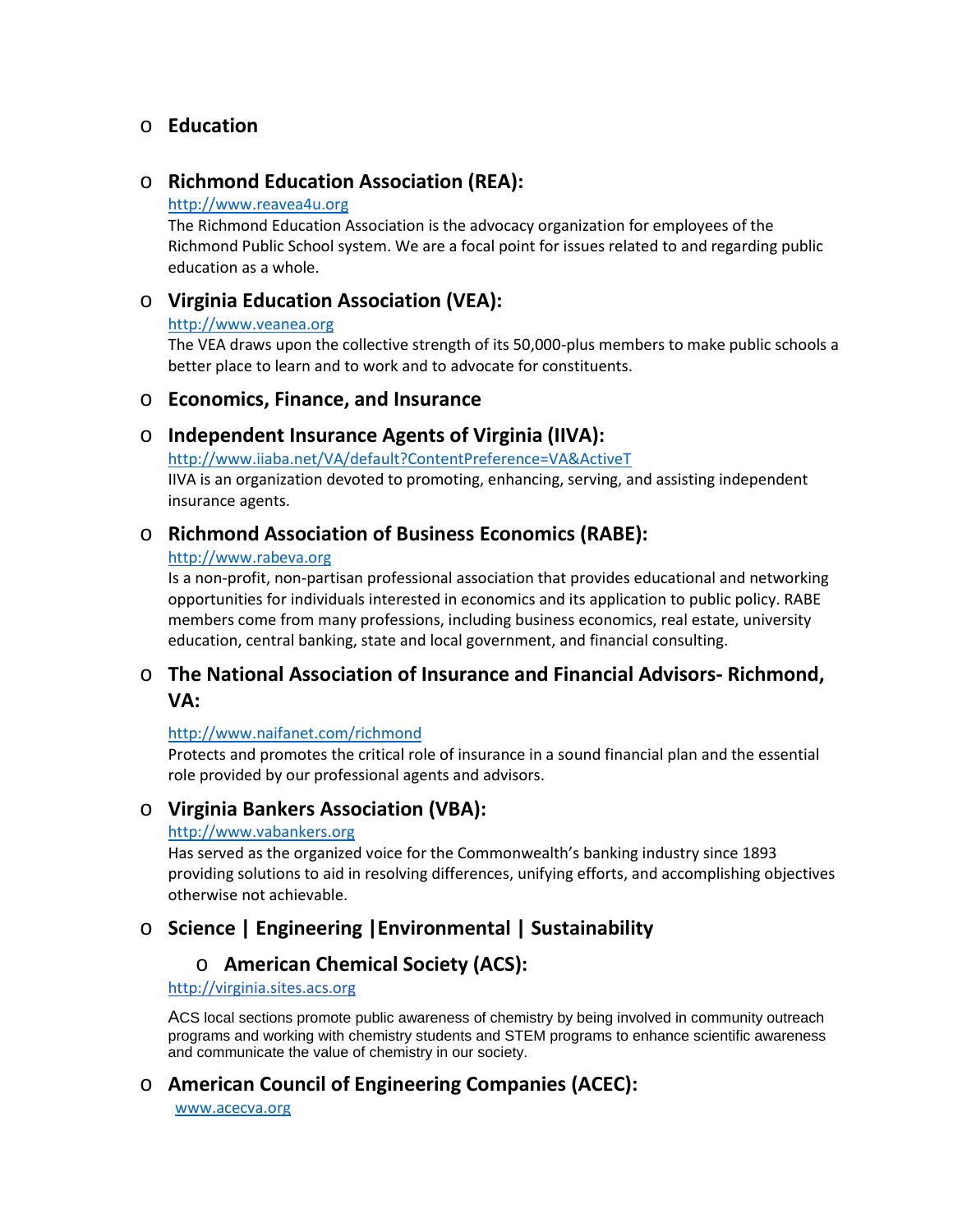# o **Education**

## o **Richmond Education Association (REA):**

#### [http://www.reavea4u.org](http://www.reavea4u.org/)

The Richmond Education Association is the advocacy organization for employees of the Richmond Public School system. We are a focal point for issues related to and regarding public education as a whole.

# o **Virginia Education Association (VEA):**

#### [http://www.veanea.org](http://www.veanea.org/)

The VEA draws upon the collective strength of its 50,000-plus members to make public schools a better place to learn and to work and to advocate for constituents.

### o **Economics, Finance, and Insurance**

### o **Independent Insurance Agents of Virginia (IIVA):**

<http://www.iiaba.net/VA/default?ContentPreference=VA&ActiveT> IIVA is an organization devoted to promoting, enhancing, serving, and assisting independent insurance agents.

## o **Richmond Association of Business Economics (RABE):**

#### [http://www.rabeva.org](http://www.rabeva.org/)

Is a non-profit, non-partisan professional association that provides educational and networking opportunities for individuals interested in economics and its application to public policy. RABE members come from many professions, including business economics, real estate, university education, central banking, state and local government, and financial consulting.

# o **The National Association of Insurance and Financial Advisors- Richmond, VA:**

### <http://www.naifanet.com/richmond>

Protects and promotes the critical role of insurance in a sound financial plan and the essential role provided by our professional agents and advisors.

# o **Virginia Bankers Association (VBA):**

#### [http://www.vabankers.org](http://www.vabankers.org/)

Has served as the organized voice for the Commonwealth's banking industry since 1893 providing solutions to aid in resolving differences, unifying efforts, and accomplishing objectives otherwise not achievable.

# o **Science | Engineering |Environmental | Sustainability**

# o **American Chemical Society (ACS):**

#### [http://virginia.sites.acs.org](http://virginia.sites.acs.org/)

ACS local sections promote public awareness of chemistry by being involved in community outreach programs and working with chemistry students and STEM programs to enhance scientific awareness and communicate the value of chemistry in our society.

# o **American Council of Engineering Companies (ACEC):**

[www.acecva.org](http://www.acecva.org/)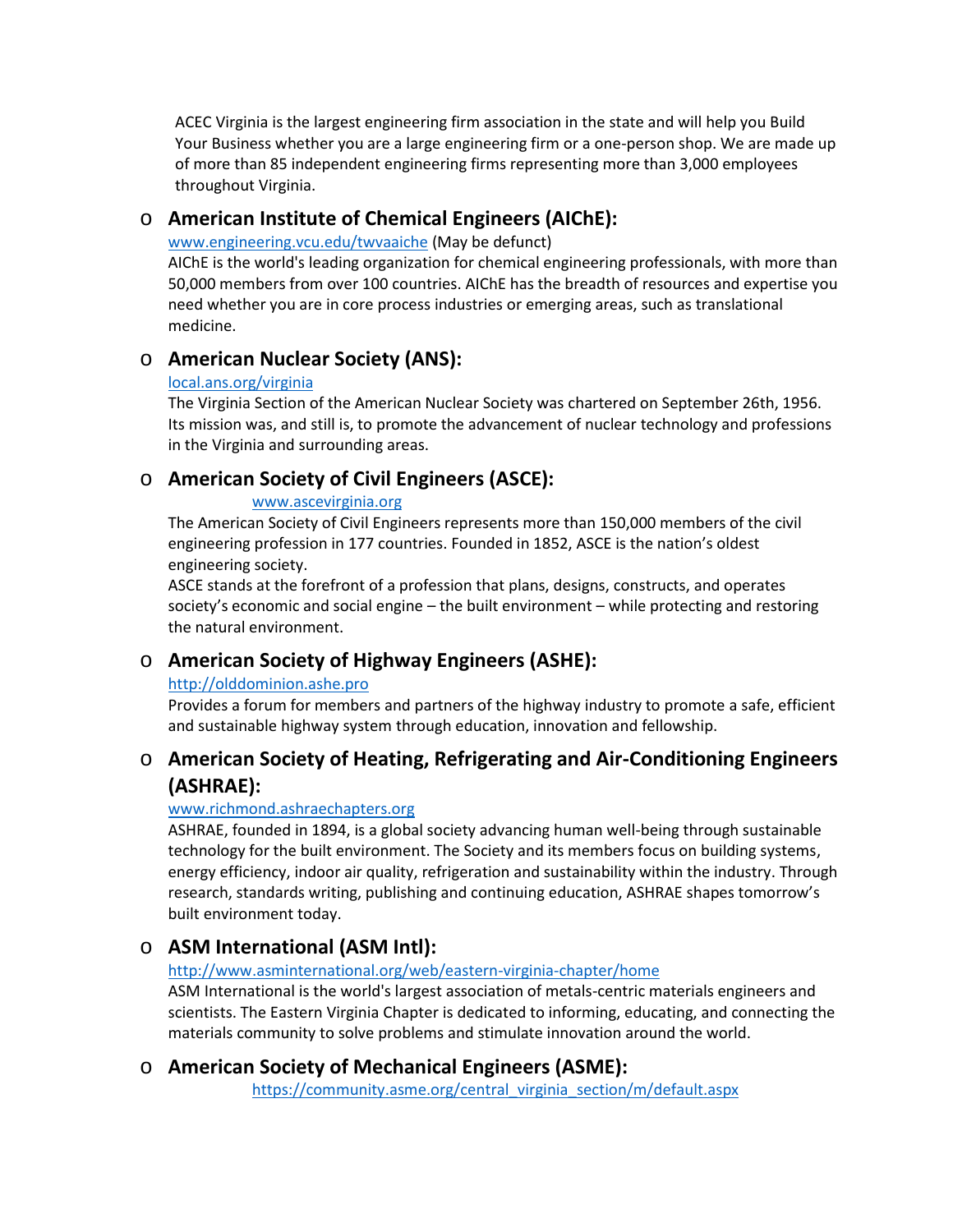ACEC Virginia is the largest engineering firm association in the state and will help you Build Your Business whether you are a large engineering firm or a one-person shop. We are made up of more than 85 independent engineering firms representing more than 3,000 employees throughout Virginia.

# o **American Institute of Chemical Engineers (AIChE):**

[www.engineering.vcu.edu/twvaaiche](http://www.engineering.vcu.edu/twvaaiche) (May be defunct)

AIChE is the world's leading organization for chemical engineering professionals, with more than 50,000 members from over 100 countries. AIChE has the breadth of resources and expertise you need whether you are in core process industries or emerging areas, such as translational medicine.

# o **American Nuclear Society (ANS):**

#### [local.ans.org/virginia](http://local.ans.org/virginia/)

The Virginia Section of the American Nuclear Society was chartered on September 26th, 1956. Its mission was, and still is, to promote the advancement of nuclear technology and professions in the Virginia and surrounding areas.

# o **American Society of Civil Engineers (ASCE):**

### [www.ascevirginia.org](http://www.ascevirginia.org/)

The American Society of Civil Engineers represents more than 150,000 members of the civil engineering profession in 177 countries. Founded in 1852, ASCE is the nation's oldest engineering society.

ASCE stands at the forefront of a profession that plans, designs, constructs, and operates society's economic and social engine – the built environment – while protecting and restoring the natural environment.

# o **American Society of Highway Engineers (ASHE):**

## [http://olddominion.ashe.pro](http://olddominion.ashe.pro/)

Provides a forum for members and partners of the highway industry to promote a safe, efficient and sustainable highway system through education, innovation and fellowship.

# o **American Society of Heating, Refrigerating and Air-Conditioning Engineers (ASHRAE):**

## [www.richmond.ashraechapters.org](http://www.richmond.ashraechapters.org/)

ASHRAE, founded in 1894, is a global society advancing human well-being through sustainable technology for the built environment. The Society and its members focus on building systems, energy efficiency, indoor air quality, refrigeration and sustainability within the industry. Through research, standards writing, publishing and continuing education, ASHRAE shapes tomorrow's built environment today.

# o **ASM International (ASM Intl):**

## <http://www.asminternational.org/web/eastern-virginia-chapter/home>

ASM International is the world's largest association of metals-centric materials engineers and scientists. The Eastern Virginia Chapter is dedicated to informing, educating, and connecting the materials community to solve problems and stimulate innovation around the world.

# o **American Society of Mechanical Engineers (ASME):**

[https://community.asme.org/central\\_virginia\\_section/m/default.aspx](https://community.asme.org/central_virginia_section/m/default.aspx)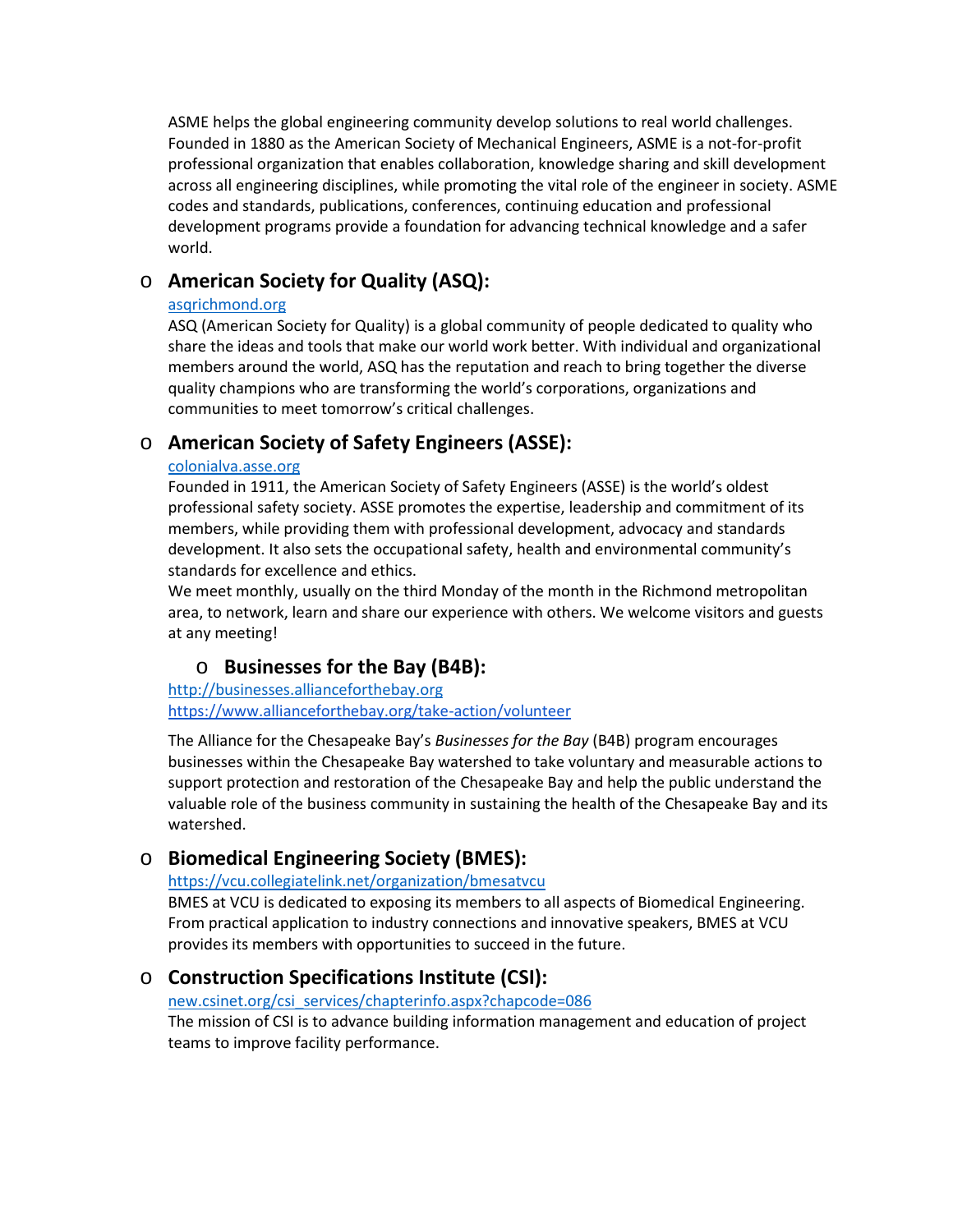ASME helps the global engineering community develop solutions to real world challenges. Founded in 1880 as the American Society of Mechanical Engineers, ASME is a not-for-profit professional organization that enables collaboration, knowledge sharing and skill development across all engineering disciplines, while promoting the vital role of the engineer in society. ASME codes and standards, publications, conferences, continuing education and professional development programs provide a foundation for advancing technical knowledge and a safer world.

# o **American Society for Quality (ASQ):**

#### [asqrichmond.org](http://asqrichmond.org/)

ASQ (American Society for Quality) is a global community of people dedicated to quality who share the ideas and tools that make our world work better. With individual and organizational members around the world, ASQ has the reputation and reach to bring together the diverse quality champions who are transforming the world's corporations, organizations and communities to meet tomorrow's critical challenges.

# o **American Society of Safety Engineers (ASSE):**

#### [colonialva.asse.org](http://colonialva.asse.org/)

Founded in 1911, the American Society of Safety Engineers (ASSE) is the world's oldest professional safety society. ASSE promotes the expertise, leadership and commitment of its members, while providing them with professional development, advocacy and standards development. It also sets the occupational safety, health and environmental community's standards for excellence and ethics.

We meet monthly, usually on the third Monday of the month in the Richmond metropolitan area, to network, learn and share our experience with others. We welcome visitors and guests at any meeting!

# o **Businesses for the Bay (B4B):**

[http://businesses.allianceforthebay.org](http://businesses.allianceforthebay.org/) <https://www.allianceforthebay.org/take-action/volunteer>

The Alliance for the Chesapeake Bay's *Businesses for the Bay* (B4B) program encourages businesses within the Chesapeake Bay watershed to take voluntary and measurable actions to support protection and restoration of the Chesapeake Bay and help the public understand the valuable role of the business community in sustaining the health of the Chesapeake Bay and its watershed.

# o **Biomedical Engineering Society (BMES):**

### <https://vcu.collegiatelink.net/organization/bmesatvcu>

BMES at VCU is dedicated to exposing its members to all aspects of Biomedical Engineering. From practical application to industry connections and innovative speakers, BMES at VCU provides its members with opportunities to succeed in the future.

# o **Construction Specifications Institute (CSI):**

[new.csinet.org/csi\\_services/chapterinfo.aspx?chapcode=086](http://new.csinet.org/csi_services/chapterinfo.aspx?chapcode=086)

The mission of CSI is to advance building information management and education of project teams to improve facility performance.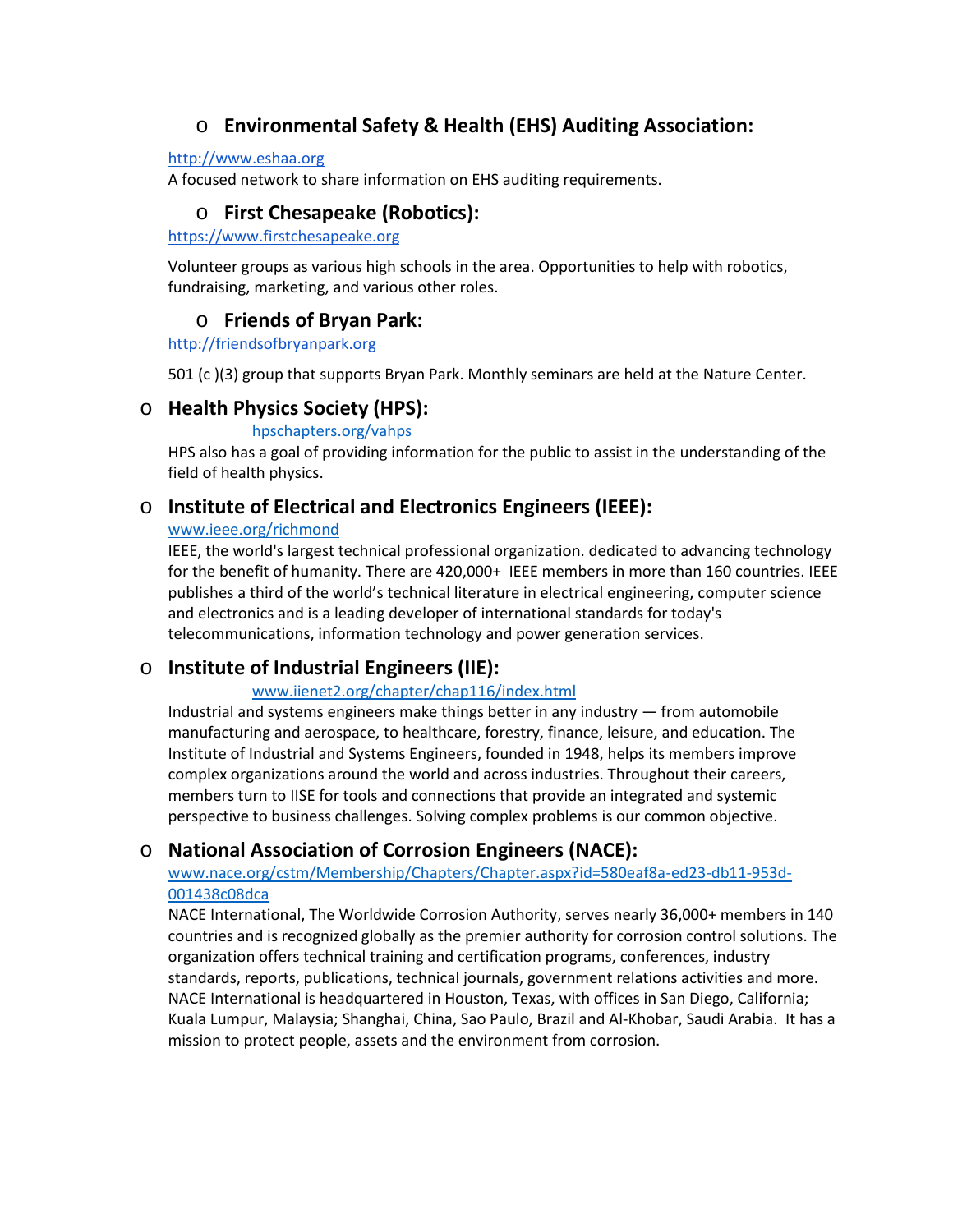# o **Environmental Safety & Health (EHS) Auditing Association:**

#### [http://www.eshaa.org](http://www.eshaa.org/)

A focused network to share information on EHS auditing requirements.

# o **First Chesapeake (Robotics):**

[https://www.firstchesapeake.org](https://www.firstchesapeake.org/)

Volunteer groups as various high schools in the area. Opportunities to help with robotics, fundraising, marketing, and various other roles.

# o **Friends of Bryan Park:**

[http://friendsofbryanpark.org](http://friendsofbryanpark.org/)

501 (c )(3) group that supports Bryan Park. Monthly seminars are held at the Nature Center.

## o **Health Physics Society (HPS):**

#### [hpschapters.org/vahps](http://hpschapters.org/vahps/)

HPS also has a goal of providing information for the public to assist in the understanding of the field of health physics.

# o **Institute of Electrical and Electronics Engineers (IEEE):**

#### [www.ieee.org/richmond](http://www.ieee.org/richmond)

IEEE, the world's largest technical professional organization. dedicated to advancing technology for the benefit of humanity. There are 420,000+ IEEE members in more than 160 countries. IEEE publishes a third of the world's technical literature in electrical engineering, computer science and electronics and is a leading developer of international standards for today's telecommunications, information technology and power generation services.

## o **Institute of Industrial Engineers (IIE):**

### [www.iienet2.org/chapter/chap116/index.html](http://www.iienet2.org/chapter/chap116/index.html)

Industrial and systems engineers make things better in any industry — from automobile manufacturing and aerospace, to healthcare, forestry, finance, leisure, and education. The Institute of Industrial and Systems Engineers, founded in 1948, helps its members improve complex organizations around the world and across industries. Throughout their careers, members turn to IISE for tools and connections that provide an integrated and systemic perspective to business challenges. Solving complex problems is our common objective.

## o **National Association of Corrosion Engineers (NACE):**

### [www.nace.org/cstm/Membership/Chapters/Chapter.aspx?id=580eaf8a-ed23-db11-953d-](http://www.nace.org/cstm/Membership/Chapters/Chapter.aspx?id=580eaf8a-ed23-db11-953d-001438c08dca)[001438c08dca](http://www.nace.org/cstm/Membership/Chapters/Chapter.aspx?id=580eaf8a-ed23-db11-953d-001438c08dca)

NACE International, The Worldwide Corrosion Authority, serves nearly 36,000+ members in 140 countries and is recognized globally as the premier authority for corrosion control solutions. The organization offers technical training and certification programs, conferences, industry standards, reports, publications, technical journals, government relations activities and more. NACE International is headquartered in Houston, Texas, with offices in San Diego, California; Kuala Lumpur, Malaysia; Shanghai, China, Sao Paulo, Brazil and Al-Khobar, Saudi Arabia. It has a mission to protect people, assets and the environment from corrosion.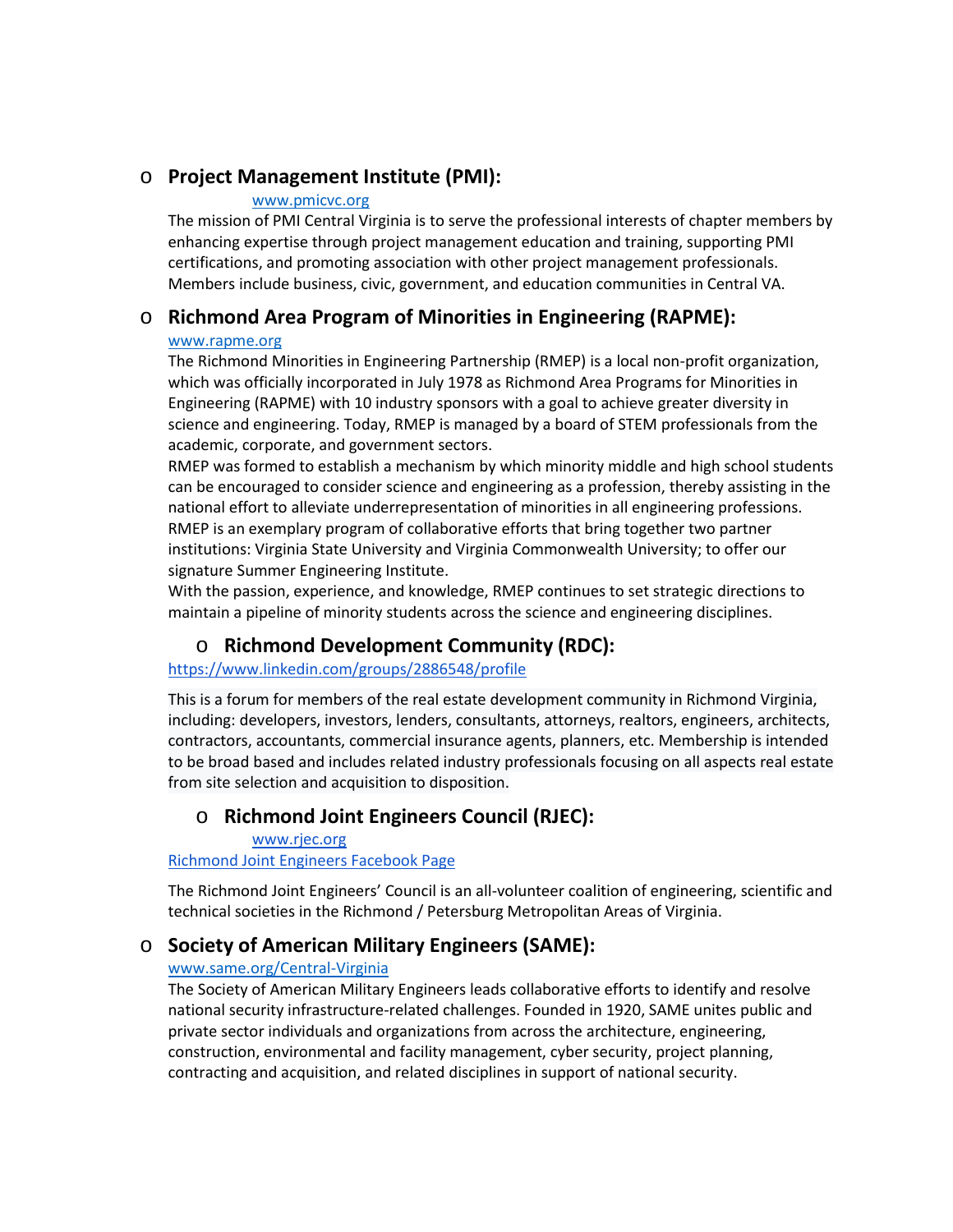## o **Project Management Institute (PMI):**

#### [www.pmicvc.org](http://www.pmicvc.org/)

The mission of PMI Central Virginia is to serve the professional interests of chapter members by enhancing expertise through project management education and training, supporting PMI certifications, and promoting association with other project management professionals. Members include business, civic, government, and education communities in Central VA.

# o **Richmond Area Program of Minorities in Engineering (RAPME):**

#### [www.rapme.org](http://www.rapme.org/)

The Richmond Minorities in Engineering Partnership (RMEP) is a local non-profit organization, which was officially incorporated in July 1978 as Richmond Area Programs for Minorities in Engineering (RAPME) with 10 industry sponsors with a goal to achieve greater diversity in science and engineering. Today, RMEP is managed by a board of STEM professionals from the academic, corporate, and government sectors.

RMEP was formed to establish a mechanism by which minority middle and high school students can be encouraged to consider science and engineering as a profession, thereby assisting in the national effort to alleviate underrepresentation of minorities in all engineering professions. RMEP is an exemplary program of collaborative efforts that bring together two partner institutions: Virginia State University and Virginia Commonwealth University; to offer our signature Summer Engineering Institute.

With the passion, experience, and knowledge, RMEP continues to set strategic directions to maintain a pipeline of minority students across the science and engineering disciplines.

# o **Richmond Development Community (RDC):**

### <https://www.linkedin.com/groups/2886548/profile>

This is a forum for members of the real estate development community in Richmond Virginia, including: developers, investors, lenders, consultants, attorneys, realtors, engineers, architects, contractors, accountants, commercial insurance agents, planners, etc. Membership is intended to be broad based and includes related industry professionals focusing on all aspects real estate from site selection and acquisition to disposition.

# o **Richmond Joint Engineers Council (RJEC):**

[www.rjec.org](http://www.rjec.org/)

[Richmond Joint Engineers Facebook Page](https://www.facebook.com/Richmond-Joint-Engineers-Council-156340724397698/)

The Richmond Joint Engineers' Council is an all-volunteer coalition of engineering, scientific and technical societies in the Richmond / Petersburg Metropolitan Areas of Virginia.

# o **Society of American Military Engineers (SAME):**

## [www.same.org/Central-Virginia](http://www.same.org/Central-Virginia)

The Society of American Military Engineers leads collaborative efforts to identify and resolve national security infrastructure-related challenges. Founded in 1920, SAME unites public and private sector individuals and organizations from across the architecture, engineering, construction, environmental and facility management, cyber security, project planning, contracting and acquisition, and related disciplines in support of national security.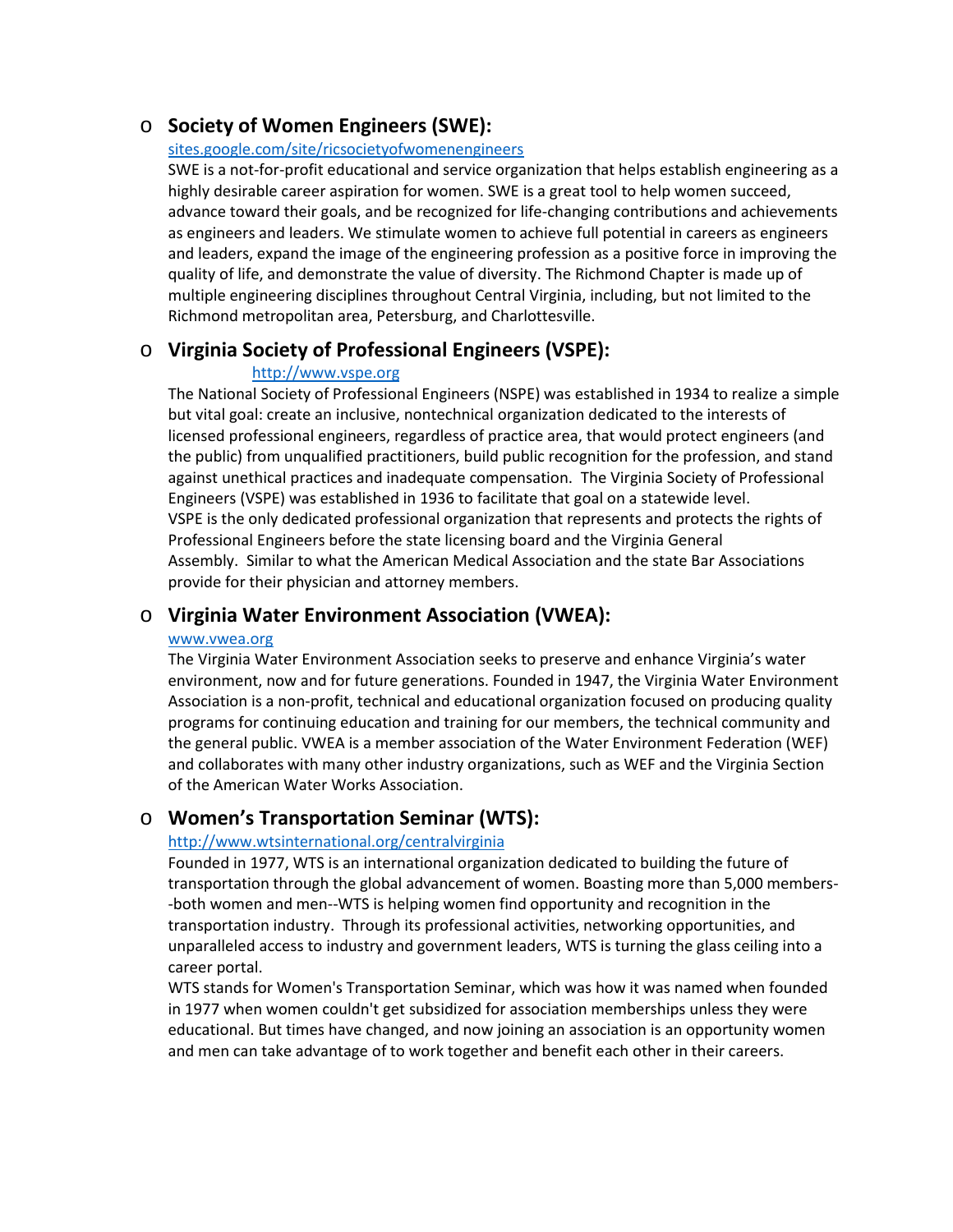## o **Society of Women Engineers (SWE):**

#### [sites.google.com/site/ricsocietyofwomenengineers](https://sites.google.com/site/ricsocietyofwomenengineers/)

SWE is a not-for-profit educational and service organization that helps establish engineering as a highly desirable career aspiration for women. SWE is a great tool to help women succeed, advance toward their goals, and be recognized for life-changing contributions and achievements as engineers and leaders. We stimulate women to achieve full potential in careers as engineers and leaders, expand the image of the engineering profession as a positive force in improving the quality of life, and demonstrate the value of diversity. The Richmond Chapter is made up of multiple engineering disciplines throughout Central Virginia, including, but not limited to the Richmond metropolitan area, Petersburg, and Charlottesville.

### o **Virginia Society of Professional Engineers (VSPE):**

#### [http://www.vspe.org](http://www.vspe.org/)

The National Society of Professional Engineers (NSPE) was established in 1934 to realize a simple but vital goal: create an inclusive, nontechnical organization dedicated to the interests of licensed professional engineers, regardless of practice area, that would protect engineers (and the public) from unqualified practitioners, build public recognition for the profession, and stand against unethical practices and inadequate compensation. The Virginia Society of Professional Engineers (VSPE) was established in 1936 to facilitate that goal on a statewide level. VSPE is the only dedicated professional organization that represents and protects the rights of Professional Engineers before the state licensing board and the Virginia General Assembly. Similar to what the American Medical Association and the state Bar Associations provide for their physician and attorney members.

### o **Virginia Water Environment Association (VWEA):**

#### [www.vwea.org](http://www.vwea.org/)

The Virginia Water Environment Association seeks to preserve and enhance Virginia's water environment, now and for future generations. Founded in 1947, the Virginia Water Environment Association is a non-profit, technical and educational organization focused on producing quality programs for continuing education and training for our members, the technical community and the general public. VWEA is a member association of the Water Environment Federation (WEF) and collaborates with many other industry organizations, such as WEF and the Virginia Section of the American Water Works Association.

### o **Women's Transportation Seminar (WTS):**

#### [http://www.wtsinternational.org/centralvirginia](http://www.wtsinternational.org/centralvirginia/)

Founded in 1977, WTS is an international organization dedicated to building the future of transportation through the global advancement of women. Boasting more than 5,000 members- -both women and men--WTS is helping women find opportunity and recognition in the transportation industry. Through its professional activities, networking opportunities, and unparalleled access to industry and government leaders, WTS is turning the glass ceiling into a career portal.

WTS stands for Women's Transportation Seminar, which was how it was named when founded in 1977 when women couldn't get subsidized for association memberships unless they were educational. But times have changed, and now joining an association is an opportunity women and men can take advantage of to work together and benefit each other in their careers.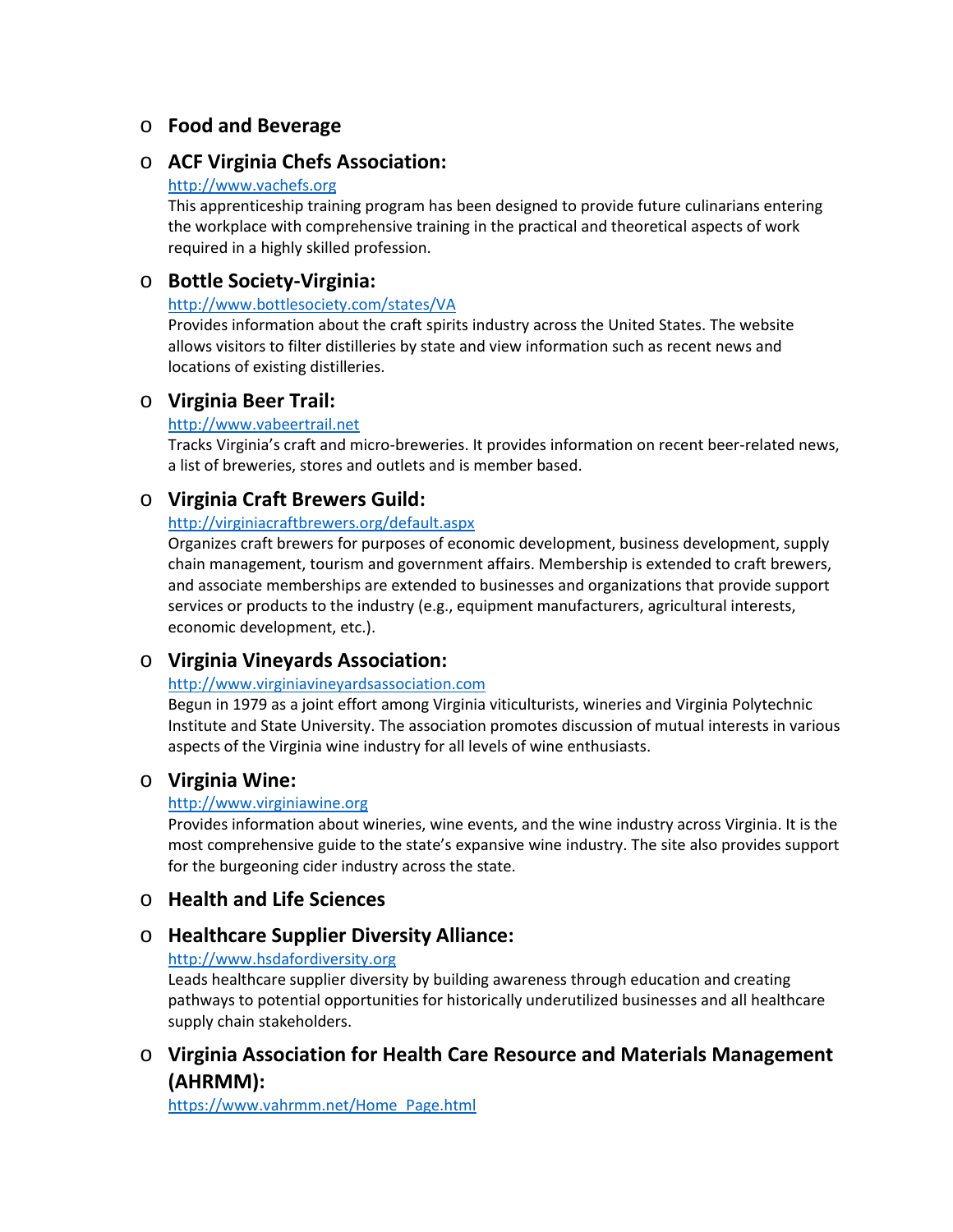# o **Food and Beverage**

## o **ACF Virginia Chefs Association:**

#### [http://www.vachefs.org](http://www.vachefs.org/)

This apprenticeship training program has been designed to provide future culinarians entering the workplace with comprehensive training in the practical and theoretical aspects of work required in a highly skilled profession.

## o **Bottle Society-Virginia:**

### <http://www.bottlesociety.com/states/VA>

Provides information about the craft spirits industry across the United States. The website allows visitors to filter distilleries by state and view information such as recent news and locations of existing distilleries.

# o **Virginia Beer Trail:**

### [http://www.vabeertrail.net](http://www.vabeertrail.net/)

Tracks Virginia's craft and micro-breweries. It provides information on recent beer-related news, a list of breweries, stores and outlets and is member based.

# o **Virginia Craft Brewers Guild:**

### <http://virginiacraftbrewers.org/default.aspx>

Organizes craft brewers for purposes of economic development, business development, supply chain management, tourism and government affairs. Membership is extended to craft brewers, and associate memberships are extended to businesses and organizations that provide support services or products to the industry (e.g., equipment manufacturers, agricultural interests, economic development, etc.).

# o **Virginia Vineyards Association:**

### [http://www.virginiavineyardsassociation.com](http://www.virginiavineyardsassociation.com/)

Begun in 1979 as a joint effort among Virginia viticulturists, wineries and Virginia Polytechnic Institute and State University. The association promotes discussion of mutual interests in various aspects of the Virginia wine industry for all levels of wine enthusiasts.

## o **Virginia Wine:**

### [http://www.virginiawine.org](http://www.virginiawine.org/)

Provides information about wineries, wine events, and the wine industry across Virginia. It is the most comprehensive guide to the state's expansive wine industry. The site also provides support for the burgeoning cider industry across the state.

## o **Health and Life Sciences**

# o **Healthcare Supplier Diversity Alliance:**

### [http://www.hsdafordiversity.org](http://www.hsdafordiversity.org/)

Leads healthcare supplier diversity by building awareness through education and creating pathways to potential opportunities for historically underutilized businesses and all healthcare supply chain stakeholders.

# o **Virginia Association for Health Care Resource and Materials Management (AHRMM):**

[https://www.vahrmm.net/Home\\_Page.html](https://www.vahrmm.net/Home_Page.html)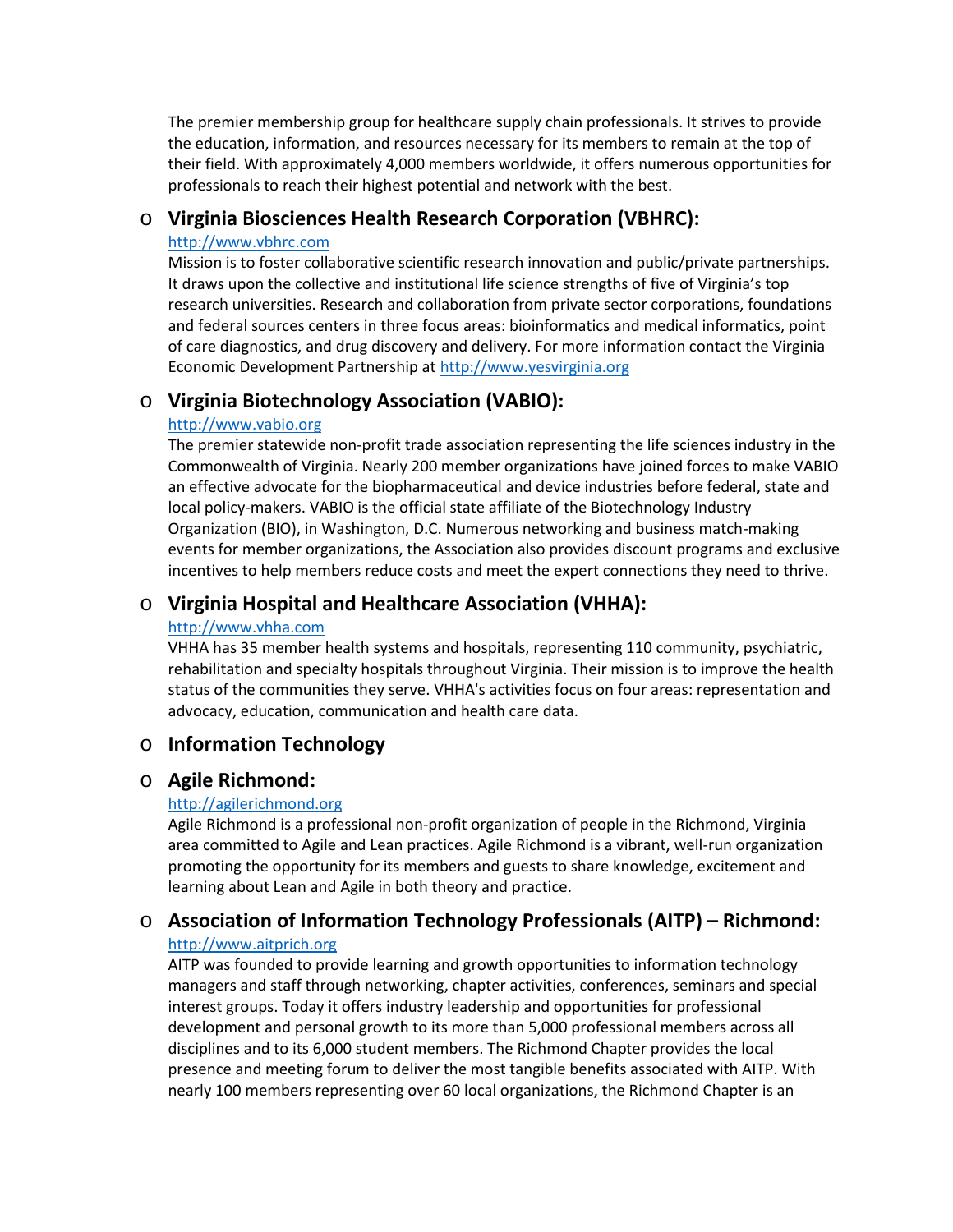The premier membership group for healthcare supply chain professionals. It strives to provide the education, information, and resources necessary for its members to remain at the top of their field. With approximately 4,000 members worldwide, it offers numerous opportunities for professionals to reach their highest potential and network with the best.

## o **Virginia Biosciences Health Research Corporation (VBHRC):**

#### [http://www.vbhrc.com](http://www.vbhrc.com/)

Mission is to foster collaborative scientific research innovation and public/private partnerships. It draws upon the collective and institutional life science strengths of five of Virginia's top research universities. Research and collaboration from private sector corporations, foundations and federal sources centers in three focus areas: bioinformatics and medical informatics, point of care diagnostics, and drug discovery and delivery. For more information contact the Virginia Economic Development Partnership a[t http://www.yesvirginia.org](http://www.yesvirginia.org/)

# o **Virginia Biotechnology Association (VABIO):**

#### [http://www.vabio.org](http://www.vabio.org/)

The premier statewide non-profit trade association representing the life sciences industry in the Commonwealth of Virginia. Nearly 200 member organizations have joined forces to make VABIO an effective advocate for the biopharmaceutical and device industries before federal, state and local policy-makers. VABIO is the official state affiliate of the Biotechnology Industry Organization (BIO), in Washington, D.C. Numerous networking and business match-making events for member organizations, the Association also provides discount programs and exclusive incentives to help members reduce costs and meet the expert connections they need to thrive.

# o **Virginia Hospital and Healthcare Association (VHHA):**

#### [http://www.vhha.com](http://www.vhha.com/)

VHHA has 35 member health systems and hospitals, representing 110 community, psychiatric, rehabilitation and specialty hospitals throughout Virginia. Their mission is to improve the health status of the communities they serve. VHHA's activities focus on four areas: representation and advocacy, education, communication and health care data.

## o **Information Technology**

## o **Agile Richmond:**

### [http://agilerichmond.org](http://agilerichmond.org/)

Agile Richmond is a professional non-profit organization of people in the Richmond, Virginia area committed to Agile and Lean practices. Agile Richmond is a vibrant, well-run organization promoting the opportunity for its members and guests to share knowledge, excitement and learning about Lean and Agile in both theory and practice.

# o **Association of Information Technology Professionals (AITP) – Richmond:**

#### [http://www.aitprich.org](http://www.aitprich.org/)

AITP was founded to provide learning and growth opportunities to information technology managers and staff through networking, chapter activities, conferences, seminars and special interest groups. Today it offers industry leadership and opportunities for professional development and personal growth to its more than 5,000 professional members across all disciplines and to its 6,000 student members. The Richmond Chapter provides the local presence and meeting forum to deliver the most tangible benefits associated with AITP. With nearly 100 members representing over 60 local organizations, the Richmond Chapter is an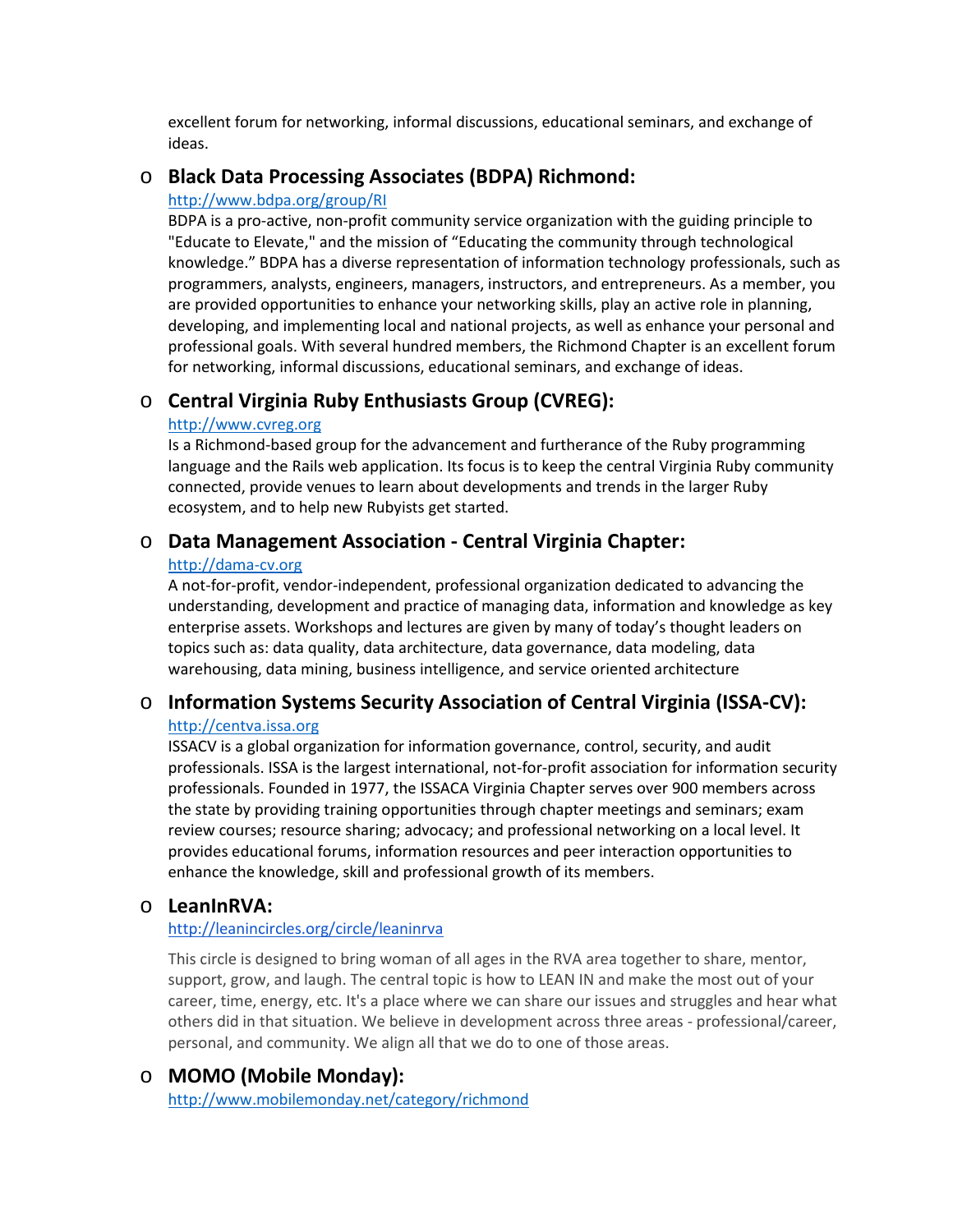excellent forum for networking, informal discussions, educational seminars, and exchange of ideas.

## o **Black Data Processing Associates (BDPA) Richmond:**

#### <http://www.bdpa.org/group/RI>

BDPA is a pro-active, non-profit community service organization with the guiding principle to "Educate to Elevate," and the mission of "Educating the community through technological knowledge." BDPA has a diverse representation of information technology professionals, such as programmers, analysts, engineers, managers, instructors, and entrepreneurs. As a member, you are provided opportunities to enhance your networking skills, play an active role in planning, developing, and implementing local and national projects, as well as enhance your personal and professional goals. With several hundred members, the Richmond Chapter is an excellent forum for networking, informal discussions, educational seminars, and exchange of ideas.

## o **Central Virginia Ruby Enthusiasts Group (CVREG):**

#### [http://www.cvreg.org](http://www.cvreg.org/)

Is a Richmond-based group for the advancement and furtherance of the Ruby programming language and the Rails web application. Its focus is to keep the central Virginia Ruby community connected, provide venues to learn about developments and trends in the larger Ruby ecosystem, and to help new Rubyists get started.

### o **Data Management Association - Central Virginia Chapter:**

#### [http://dama-cv.org](http://dama-cv.org/)

A not-for-profit, vendor-independent, professional organization dedicated to advancing the understanding, development and practice of managing data, information and knowledge as key enterprise assets. Workshops and lectures are given by many of today's thought leaders on topics such as: data quality, data architecture, data governance, data modeling, data warehousing, data mining, business intelligence, and service oriented architecture

## o **Information Systems Security Association of Central Virginia (ISSA-CV):**

#### [http://centva.issa.org](http://centva.issa.org/)

ISSACV is a global organization for information governance, control, security, and audit professionals. ISSA is the largest international, not-for-profit association for information security professionals. Founded in 1977, the ISSACA Virginia Chapter serves over 900 members across the state by providing training opportunities through chapter meetings and seminars; exam review courses; resource sharing; advocacy; and professional networking on a local level. It provides educational forums, information resources and peer interaction opportunities to enhance the knowledge, skill and professional growth of its members.

### o **LeanInRVA:**

#### <http://leanincircles.org/circle/leaninrva>

This circle is designed to bring woman of all ages in the RVA area together to share, mentor, support, grow, and laugh. The central topic is how to LEAN IN and make the most out of your career, time, energy, etc. It's a place where we can share our issues and struggles and hear what others did in that situation. We believe in development across three areas - professional/career, personal, and community. We align all that we do to one of those areas.

### o **MOMO (Mobile Monday):**

<http://www.mobilemonday.net/category/richmond>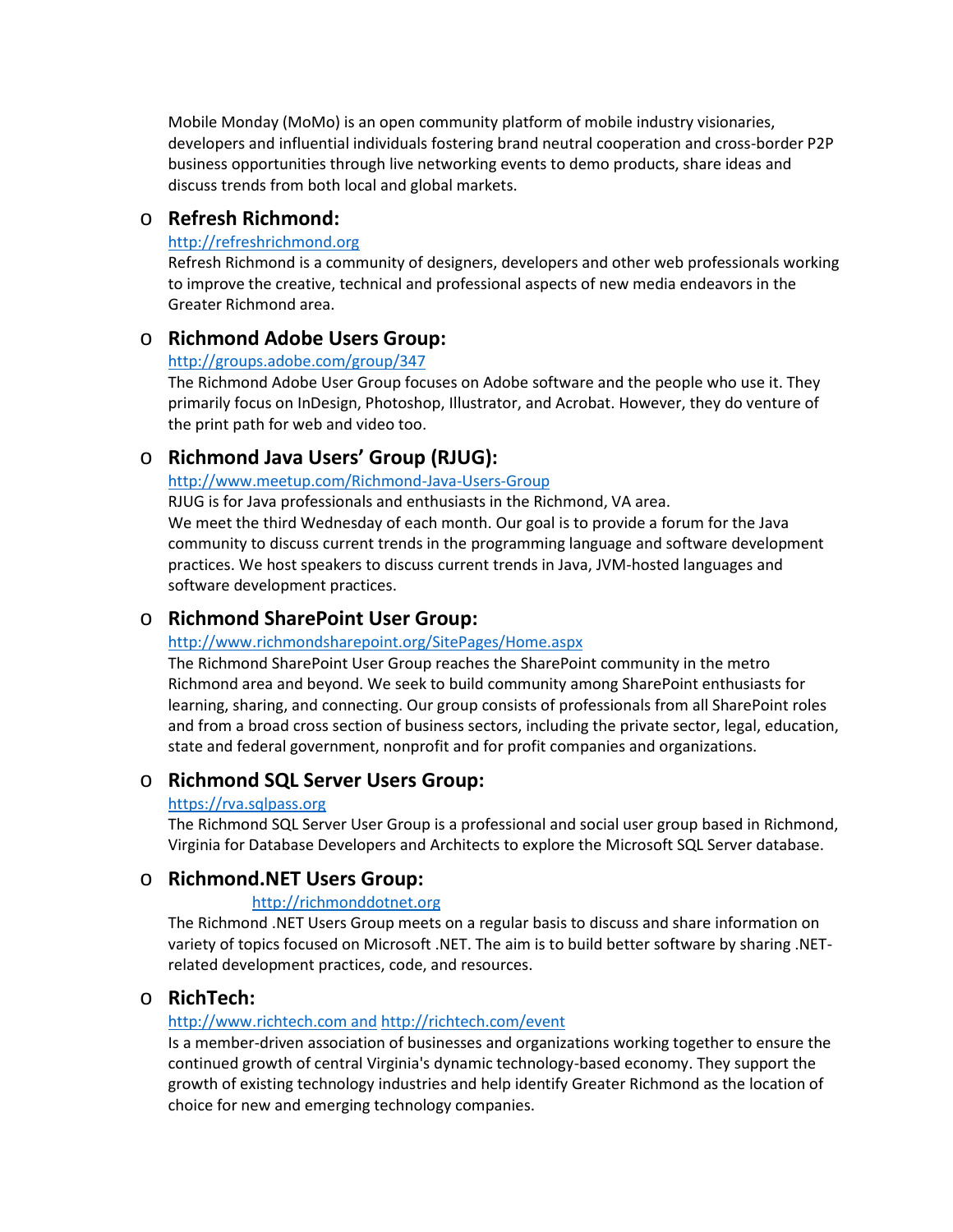Mobile Monday (MoMo) is an open community platform of mobile industry visionaries, developers and influential individuals fostering brand neutral cooperation and cross-border P2P business opportunities through live networking events to demo products, share ideas and discuss trends from both local and global markets.

## o **Refresh Richmond:**

#### [http://refreshrichmond.org](http://refreshrichmond.org/)

Refresh Richmond is a community of designers, developers and other web professionals working to improve the creative, technical and professional aspects of new media endeavors in the Greater Richmond area.

### o **Richmond Adobe Users Group:**

#### <http://groups.adobe.com/group/347>

The Richmond Adobe User Group focuses on Adobe software and the people who use it. They primarily focus on InDesign, Photoshop, Illustrator, and Acrobat. However, they do venture of the print path for web and video too.

## o **Richmond Java Users' Group (RJUG):**

[http://www.meetup.com/Richmond-Java-Users-Group](http://www.meetup.com/Richmond-Java-Users-Group/)

RJUG is for Java professionals and enthusiasts in the Richmond, VA area. We meet the third Wednesday of each month. Our goal is to provide a forum for the Java

community to discuss current trends in the programming language and software development practices. We host speakers to discuss current trends in Java, JVM-hosted languages and software development practices.

## o **Richmond SharePoint User Group:**

### <http://www.richmondsharepoint.org/SitePages/Home.aspx>

The Richmond SharePoint User Group reaches the SharePoint community in the metro Richmond area and beyond. We seek to build community among SharePoint enthusiasts for learning, sharing, and connecting. Our group consists of professionals from all SharePoint roles and from a broad cross section of business sectors, including the private sector, legal, education, state and federal government, nonprofit and for profit companies and organizations.

## o **Richmond SQL Server Users Group:**

#### [https://rva.sqlpass.org](https://rva.sqlpass.org/)

The Richmond SQL Server User Group is a professional and social user group based in Richmond, Virginia for Database Developers and Architects to explore the Microsoft SQL Server database.

## o **Richmond.NET Users Group:**

### [http://richmonddotnet.org](http://richmonddotnet.org/)

The Richmond .NET Users Group meets on a regular basis to discuss and share information on variety of topics focused on Microsoft .NET. The aim is to build better software by sharing .NETrelated development practices, code, and resources.

## o **RichTech:**

### [http://www.richtech.com and](http://www.richtech.com/) [http://richtech.com/event](http://richtech.com/event/)

Is a member-driven association of businesses and organizations working together to ensure the continued growth of central Virginia's dynamic technology-based economy. They support the growth of existing technology industries and help identify Greater Richmond as the location of choice for new and emerging technology companies.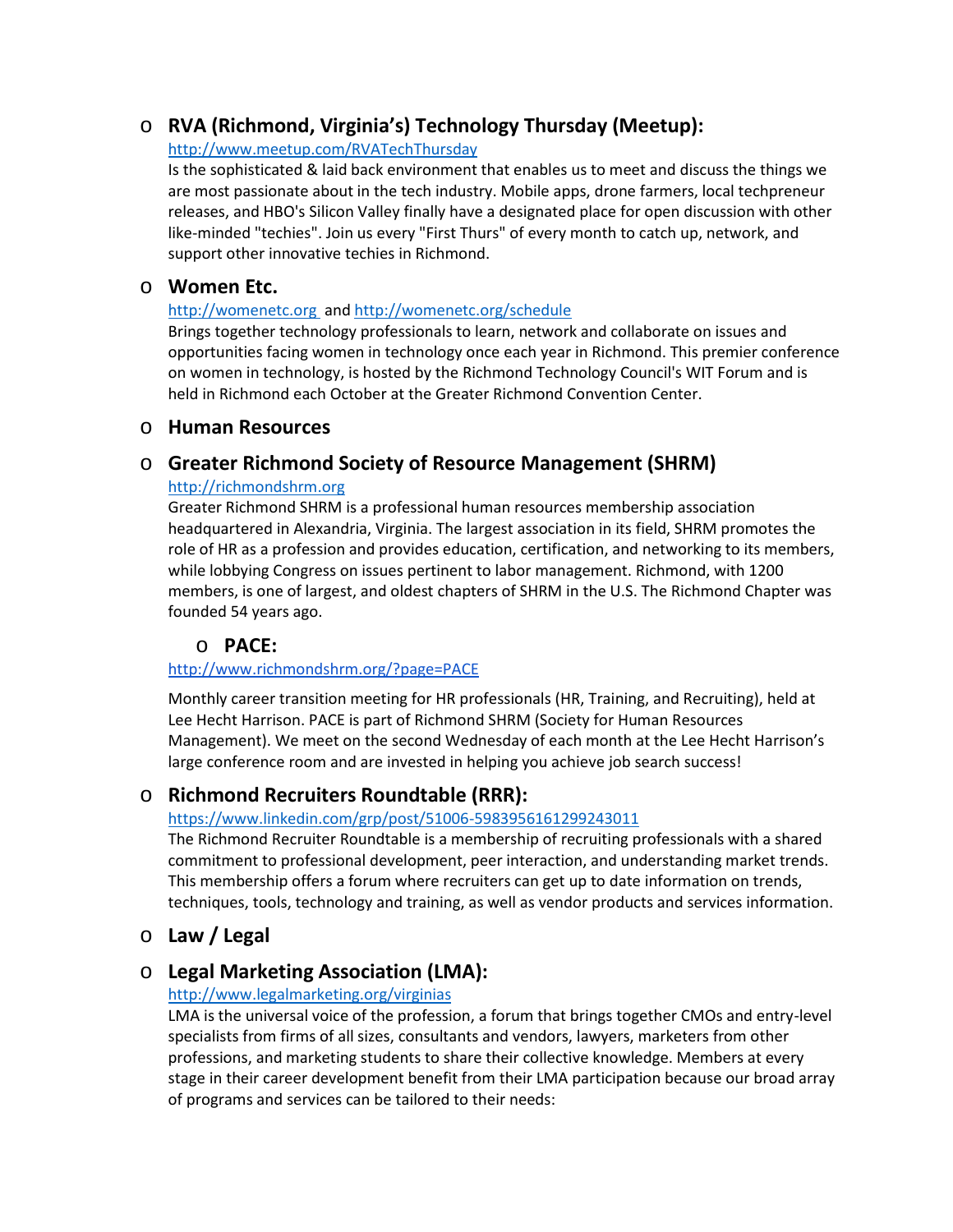# o **RVA (Richmond, Virginia's) Technology Thursday (Meetup):**

#### [http://www.meetup.com/RVATechThursday](http://www.meetup.com/RVATechThursday/)

Is the sophisticated & laid back environment that enables us to meet and discuss the things we are most passionate about in the tech industry. Mobile apps, drone farmers, local techpreneur releases, and HBO's Silicon Valley finally have a designated place for open discussion with other like-minded "techies". Join us every "First Thurs" of every month to catch up, network, and support other innovative techies in Richmond.

### o **Women Etc.**

#### [http://womenetc.org](http://womenetc.org/) and [http://womenetc.org/schedule](http://womenetc.org/schedule/)

Brings together technology professionals to learn, network and collaborate on issues and opportunities facing women in technology once each year in Richmond. This premier conference on women in technology, is hosted by the Richmond Technology Council's WIT Forum and is held in Richmond each October at the Greater Richmond Convention Center.

### o **Human Resources**

### o **Greater Richmond Society of Resource Management (SHRM)**

#### [http://richmondshrm.org](http://richmondshrm.org/)

Greater Richmond SHRM is a professional human resources membership association headquartered in Alexandria, Virginia. The largest association in its field, SHRM promotes the role of HR as a profession and provides education, certification, and networking to its members, while lobbying Congress on issues pertinent to labor management. Richmond, with 1200 members, is one of largest, and oldest chapters of SHRM in the U.S. The Richmond Chapter was founded 54 years ago.

## o **PACE:**

### <http://www.richmondshrm.org/?page=PACE>

Monthly career transition meeting for HR professionals (HR, Training, and Recruiting), held at Lee Hecht Harrison. PACE is part of Richmond SHRM (Society for Human Resources Management). We meet on the second Wednesday of each month at the Lee Hecht Harrison's large conference room and are invested in helping you achieve job search success!

## o **Richmond Recruiters Roundtable (RRR):**

### <https://www.linkedin.com/grp/post/51006-5983956161299243011>

The Richmond Recruiter Roundtable is a membership of recruiting professionals with a shared commitment to professional development, peer interaction, and understanding market trends. This membership offers a forum where recruiters can get up to date information on trends, techniques, tools, technology and training, as well as vendor products and services information.

# o **Law / Legal**

## o **Legal Marketing Association (LMA):**

### <http://www.legalmarketing.org/virginias>

LMA is the universal voice of the profession, a forum that brings together CMOs and entry-level specialists from firms of all sizes, consultants and vendors, lawyers, marketers from other professions, and marketing students to share their collective knowledge. Members at every stage in their career development benefit from their LMA participation because our broad array of programs and services can be tailored to their needs: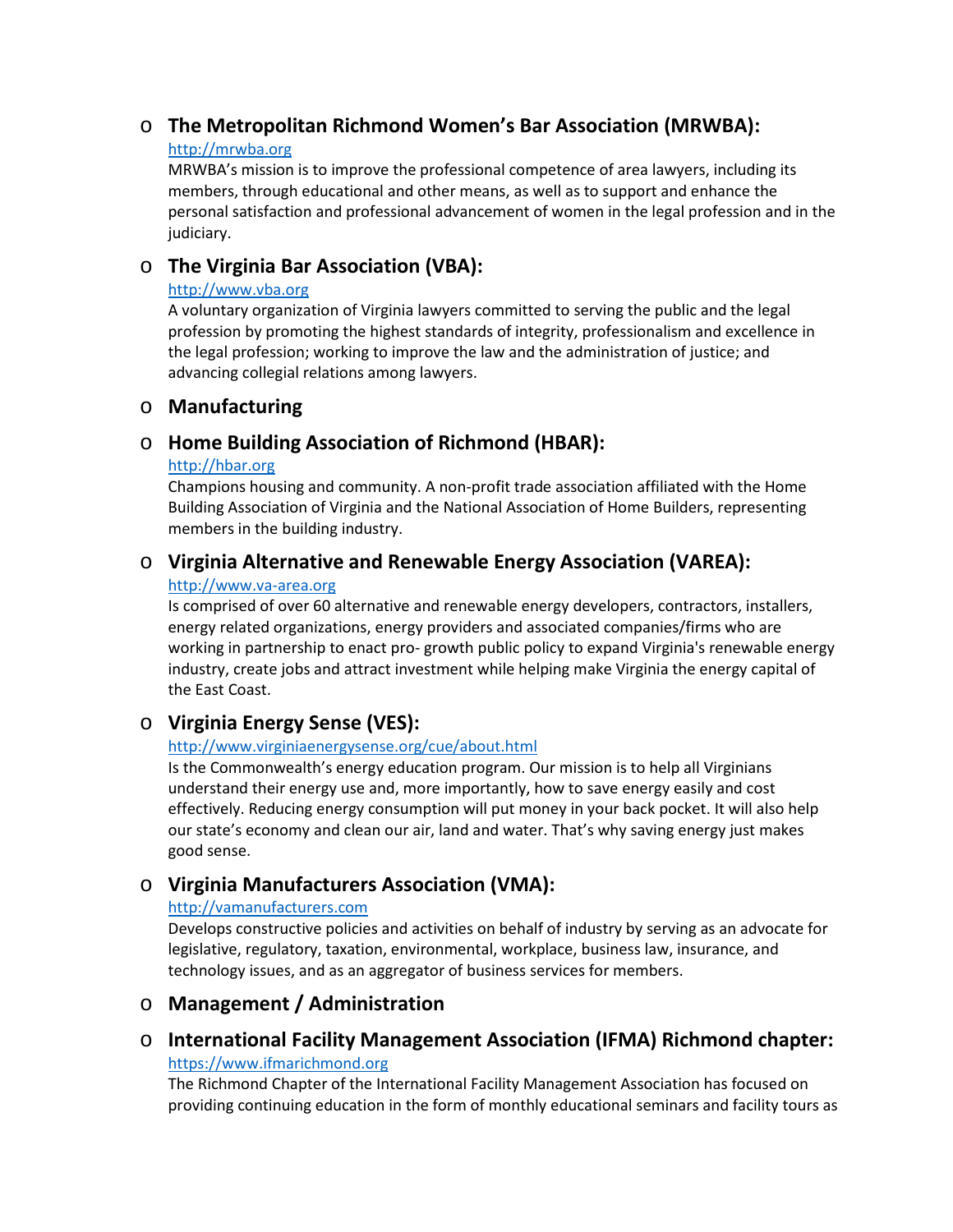# o **The Metropolitan Richmond Women's Bar Association (MRWBA):**

#### [http://mrwba.org](http://mrwba.org/)

MRWBA's mission is to improve the professional competence of area lawyers, including its members, through educational and other means, as well as to support and enhance the personal satisfaction and professional advancement of women in the legal profession and in the judiciary.

# o **The Virginia Bar Association (VBA):**

#### [http://www.vba.org](http://www.vba.org/)

A voluntary organization of Virginia lawyers committed to serving the public and the legal profession by promoting the highest standards of integrity, professionalism and excellence in the legal profession; working to improve the law and the administration of justice; and advancing collegial relations among lawyers.

### o **Manufacturing**

# o **Home Building Association of Richmond (HBAR):**

#### [http://hbar.org](http://hbar.org/)

Champions housing and community. A non-profit trade association affiliated with the Home Building Association of Virginia and the National Association of Home Builders, representing members in the building industry.

# o **Virginia Alternative and Renewable Energy Association (VAREA):**

#### [http://www.va-area.org](http://www.va-area.org/)

Is comprised of over 60 alternative and renewable energy developers, contractors, installers, energy related organizations, energy providers and associated companies/firms who are working in partnership to enact pro- growth public policy to expand Virginia's renewable energy industry, create jobs and attract investment while helping make Virginia the energy capital of the East Coast.

# o **Virginia Energy Sense (VES):**

### <http://www.virginiaenergysense.org/cue/about.html>

Is the Commonwealth's energy education program. Our mission is to help all Virginians understand their energy use and, more importantly, how to save energy easily and cost effectively. Reducing energy consumption will put money in your back pocket. It will also help our state's economy and clean our air, land and water. That's why saving energy just makes good sense.

# o **Virginia Manufacturers Association (VMA):**

### [http://vamanufacturers.com](http://vamanufacturers.com/)

Develops constructive policies and activities on behalf of industry by serving as an advocate for legislative, regulatory, taxation, environmental, workplace, business law, insurance, and technology issues, and as an aggregator of business services for members.

# o **Management / Administration**

# o **International Facility Management Association (IFMA) Richmond chapter:**

### http[s://www.ifmarichmond.org](http://www.ifmarichmond.org/)

The Richmond Chapter of the International Facility Management Association has focused on providing continuing education in the form of monthly educational seminars and facility tours as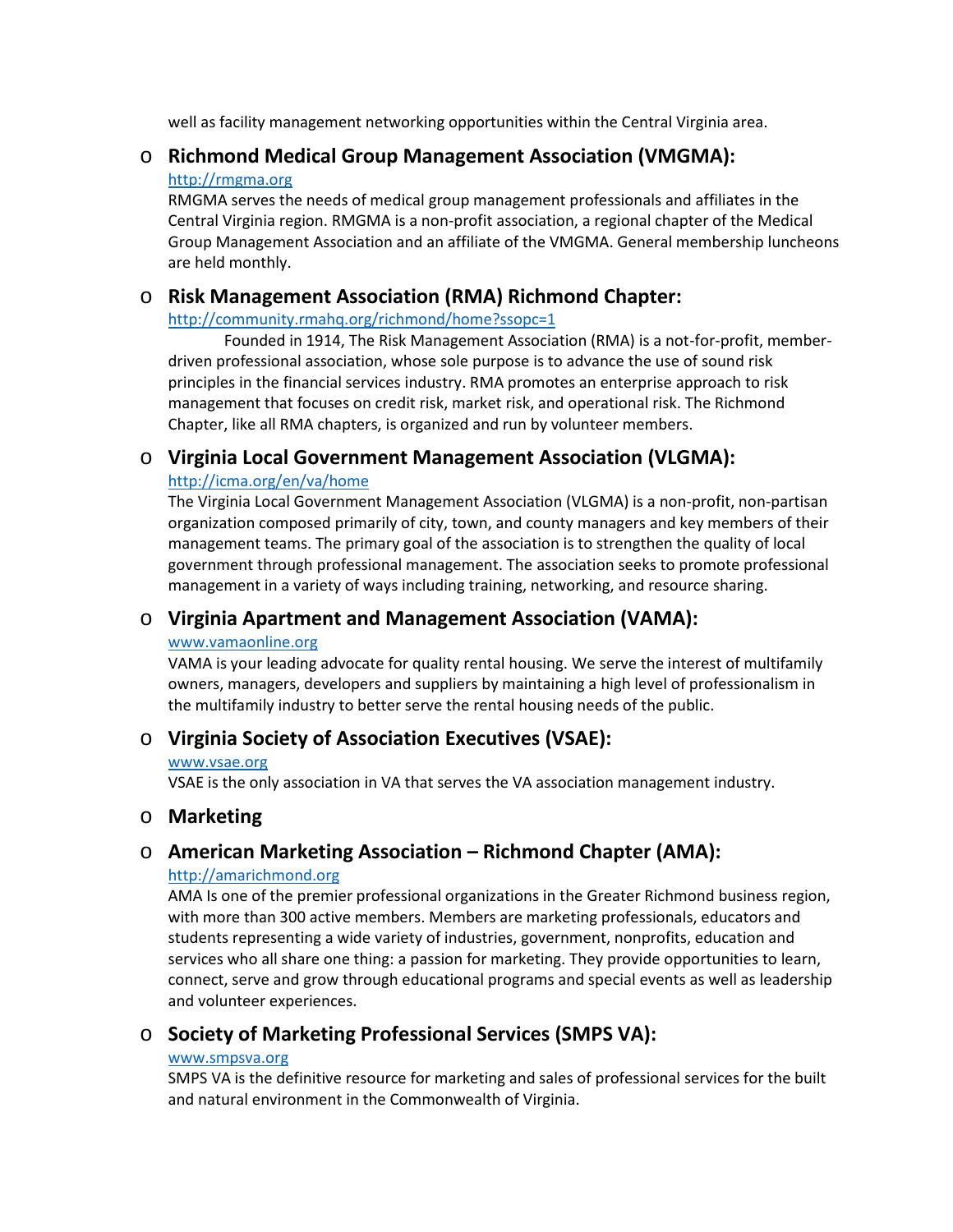well as facility management networking opportunities within the Central Virginia area.

### o **Richmond Medical Group Management Association (VMGMA):** [http://rmgma.org](http://rmgma.org/)

RMGMA serves the needs of medical group management professionals and affiliates in the Central Virginia region. RMGMA is a non-profit association, a regional chapter of the Medical Group Management Association and an affiliate of the VMGMA. General membership luncheons are held monthly.

# o **Risk Management Association (RMA) Richmond Chapter:**

#### <http://community.rmahq.org/richmond/home?ssopc=1>

Founded in 1914, The Risk Management Association (RMA) is a not-for-profit, memberdriven professional association, whose sole purpose is to advance the use of sound risk principles in the financial services industry. RMA promotes an enterprise approach to risk management that focuses on credit risk, market risk, and operational risk. The Richmond Chapter, like all RMA chapters, is organized and run by volunteer members.

# o **Virginia Local Government Management Association (VLGMA):**

### <http://icma.org/en/va/home>

The Virginia Local Government Management Association (VLGMA) is a non-profit, non-partisan organization composed primarily of city, town, and county managers and key members of their management teams. The primary goal of the association is to strengthen the quality of local government through professional management. The association seeks to promote professional management in a variety of ways including training, networking, and resource sharing.

## o **Virginia Apartment and Management Association (VAMA):**

#### [www.vamaonline.org](http://www.vamaonline.org/)

VAMA is your leading advocate for quality rental housing. We serve the interest of multifamily owners, managers, developers and suppliers by maintaining a high level of professionalism in the multifamily industry to better serve the rental housing needs of the public.

# o **Virginia Society of Association Executives (VSAE):**

#### [www.vsae.org](http://www.vsae.org/)

VSAE is the only association in VA that serves the VA association management industry.

## o **Marketing**

# o **American Marketing Association – Richmond Chapter (AMA):**

### [http://amarichmond.org](http://amarichmond.org/)

AMA Is one of the premier professional organizations in the Greater Richmond business region, with more than 300 active members. Members are marketing professionals, educators and students representing a wide variety of industries, government, nonprofits, education and services who all share one thing: a passion for marketing. They provide opportunities to learn, connect, serve and grow through educational programs and special events as well as leadership and volunteer experiences.

# o **Society of Marketing Professional Services (SMPS VA):**

#### [www.smpsva.org](http://www.smpsva.org/)

SMPS VA is the definitive resource for marketing and sales of professional services for the built and natural environment in the Commonwealth of Virginia.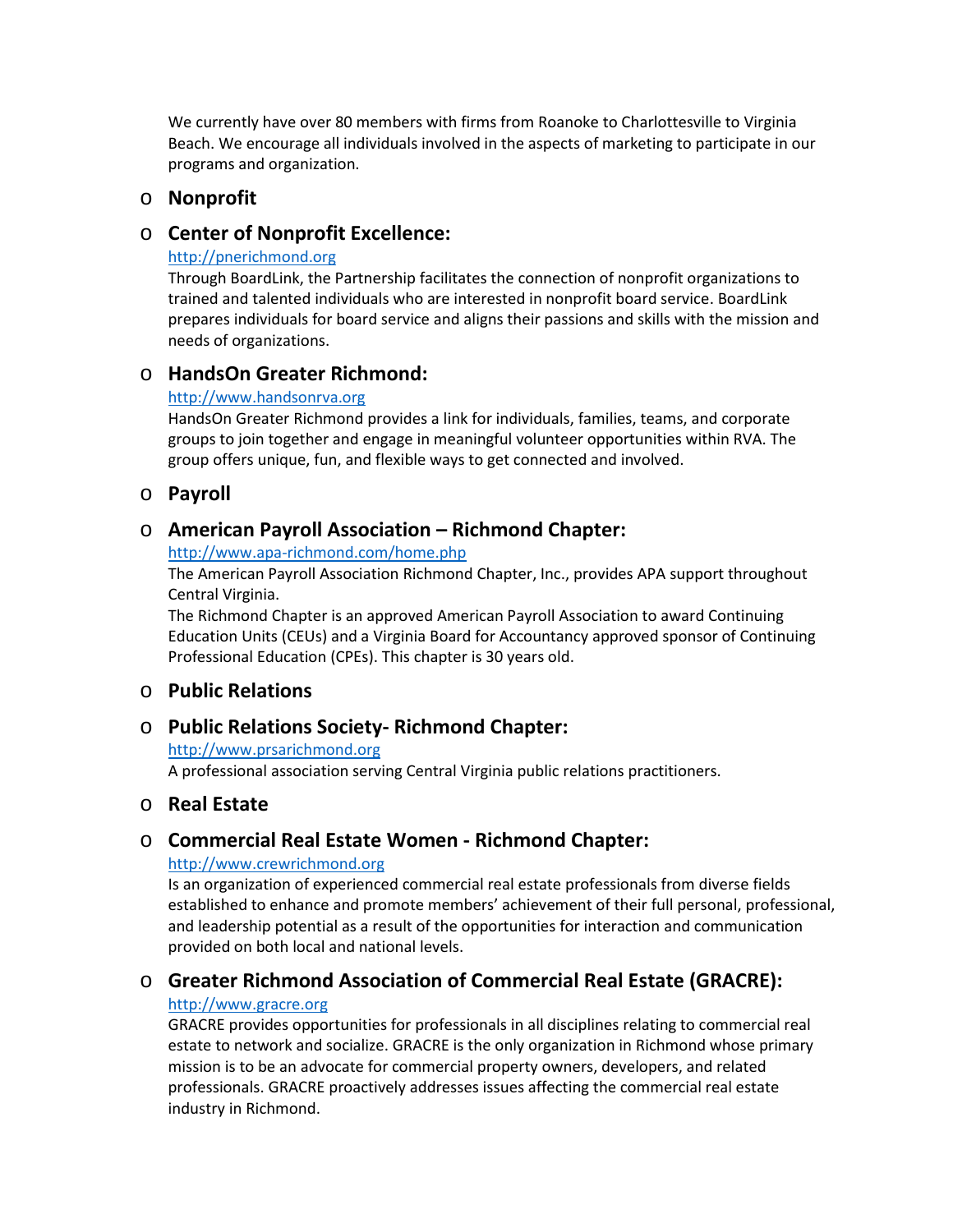We currently have over 80 members with firms from Roanoke to Charlottesville to Virginia Beach. We encourage all individuals involved in the aspects of marketing to participate in our programs and organization.

### o **Nonprofit**

### o **Center of Nonprofit Excellence:**

#### [http://pnerichmond.org](http://pnerichmond.org/)

Through BoardLink, the Partnership facilitates the connection of nonprofit organizations to trained and talented individuals who are interested in nonprofit board service. BoardLink prepares individuals for board service and aligns their passions and skills with the mission and needs of organizations.

## o **HandsOn Greater Richmond:**

### [http://www.handsonrva.org](http://www.handsonrva.org/)

HandsOn Greater Richmond provides a link for individuals, families, teams, and corporate groups to join together and engage in meaningful volunteer opportunities within RVA. The group offers unique, fun, and flexible ways to get connected and involved.

## o **Payroll**

# o **American Payroll Association – Richmond Chapter:**

#### <http://www.apa-richmond.com/home.php>

The American Payroll Association Richmond Chapter, Inc., provides APA support throughout Central Virginia.

The Richmond Chapter is an approved American Payroll Association to award Continuing Education Units (CEUs) and a Virginia Board for Accountancy approved sponsor of Continuing Professional Education (CPEs). This chapter is 30 years old.

## o **Public Relations**

## o **Public Relations Society- Richmond Chapter:**

#### [http://www.prsarichmond.org](http://www.prsarichmond.org/)

A professional association serving Central Virginia public relations practitioners.

## o **Real Estate**

# o **Commercial Real Estate Women - Richmond Chapter:**

### [http://www.crewrichmond.org](http://www.crewrichmond.org/)

Is an organization of experienced commercial real estate professionals from diverse fields established to enhance and promote members' achievement of their full personal, professional, and leadership potential as a result of the opportunities for interaction and communication provided on both local and national levels.

# o **Greater Richmond Association of Commercial Real Estate (GRACRE):**

### [http://www.gracre.org](http://www.gracre.org/)

GRACRE provides opportunities for professionals in all disciplines relating to commercial real estate to network and socialize. GRACRE is the only organization in Richmond whose primary mission is to be an advocate for commercial property owners, developers, and related professionals. GRACRE proactively addresses issues affecting the commercial real estate industry in Richmond.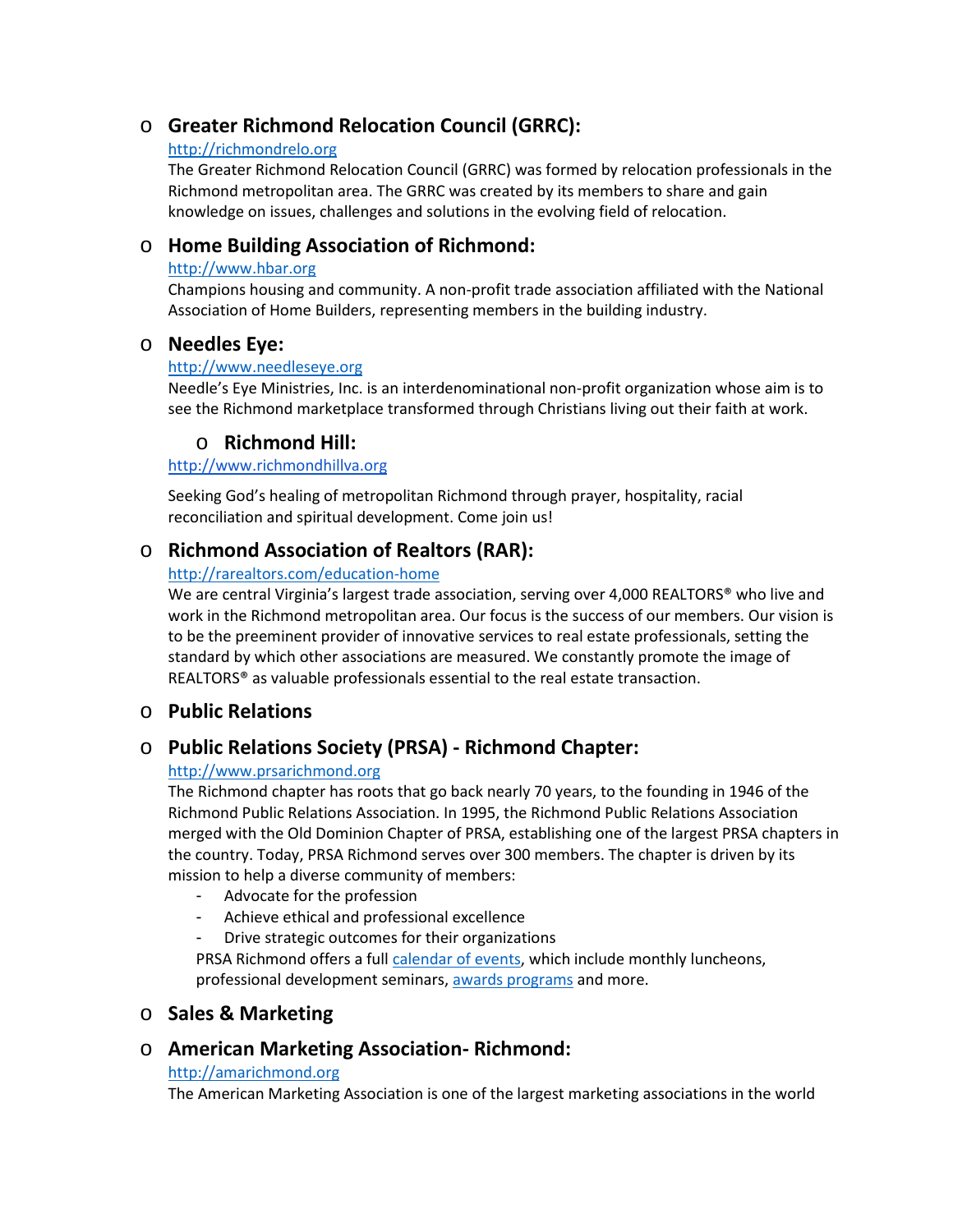# o **Greater Richmond Relocation Council (GRRC):**

#### [http://richmondrelo.org](http://richmondrelo.org/)

The Greater Richmond Relocation Council (GRRC) was formed by relocation professionals in the Richmond metropolitan area. The GRRC was created by its members to share and gain knowledge on issues, challenges and solutions in the evolving field of relocation.

# o **Home Building Association of Richmond:**

#### [http://www.hbar.org](http://www.hbar.org/)

Champions housing and community. A non-profit trade association affiliated with the National Association of Home Builders, representing members in the building industry.

## o **Needles Eye:**

#### [http://www.needleseye.org](http://www.needleseye.org/)

Needle's Eye Ministries, Inc. is an interdenominational non-profit organization whose aim is to see the Richmond marketplace transformed through Christians living out their faith at work.

# o **Richmond Hill:**

#### [http://www.richmondhillva.org](http://www.richmondhillva.org/)

Seeking God's healing of metropolitan Richmond through prayer, hospitality, racial reconciliation and spiritual development. Come join us!

# o **Richmond Association of Realtors (RAR):**

#### [http://rarealtors.com/education-home](http://rarealtors.com/education-home/)

We are central Virginia's largest trade association, serving over 4,000 REALTORS<sup>®</sup> who live and work in the Richmond metropolitan area. Our focus is the success of our members. Our vision is to be the preeminent provider of innovative services to real estate professionals, setting the standard by which other associations are measured. We constantly promote the image of REALTORS® as valuable professionals essential to the real estate transaction.

## o **Public Relations**

## o **Public Relations Society (PRSA) - Richmond Chapter:**

### [http://www.prsarichmond.org](http://www.prsarichmond.org/)

The Richmond chapter has roots that go back nearly 70 years, to the founding in 1946 of the Richmond Public Relations Association. In 1995, the Richmond Public Relations Association merged with the Old Dominion Chapter of PRSA, establishing one of the largest PRSA chapters in the country. Today, PRSA Richmond serves over 300 members. The chapter is driven by its mission to help a diverse community of members:

- Advocate for the profession
- Achieve ethical and professional excellence
- Drive strategic outcomes for their organizations

PRSA Richmond offers a full [calendar of events, wh](http://test2015.prsarichmond.com/programs-events/)ich include monthly luncheons, professional development seminars[, awards programs](http://test2015.prsarichmond.com/virginia-pr-awards/) [an](http://test2015.prsarichmond.com/virginia-pr-awards/)d more.

## o **Sales & Marketing**

## o **American Marketing Association- Richmond:**

#### [http://amarichmond.org](http://amarichmond.org/)

The American Marketing Association is one of the largest marketing associations in the world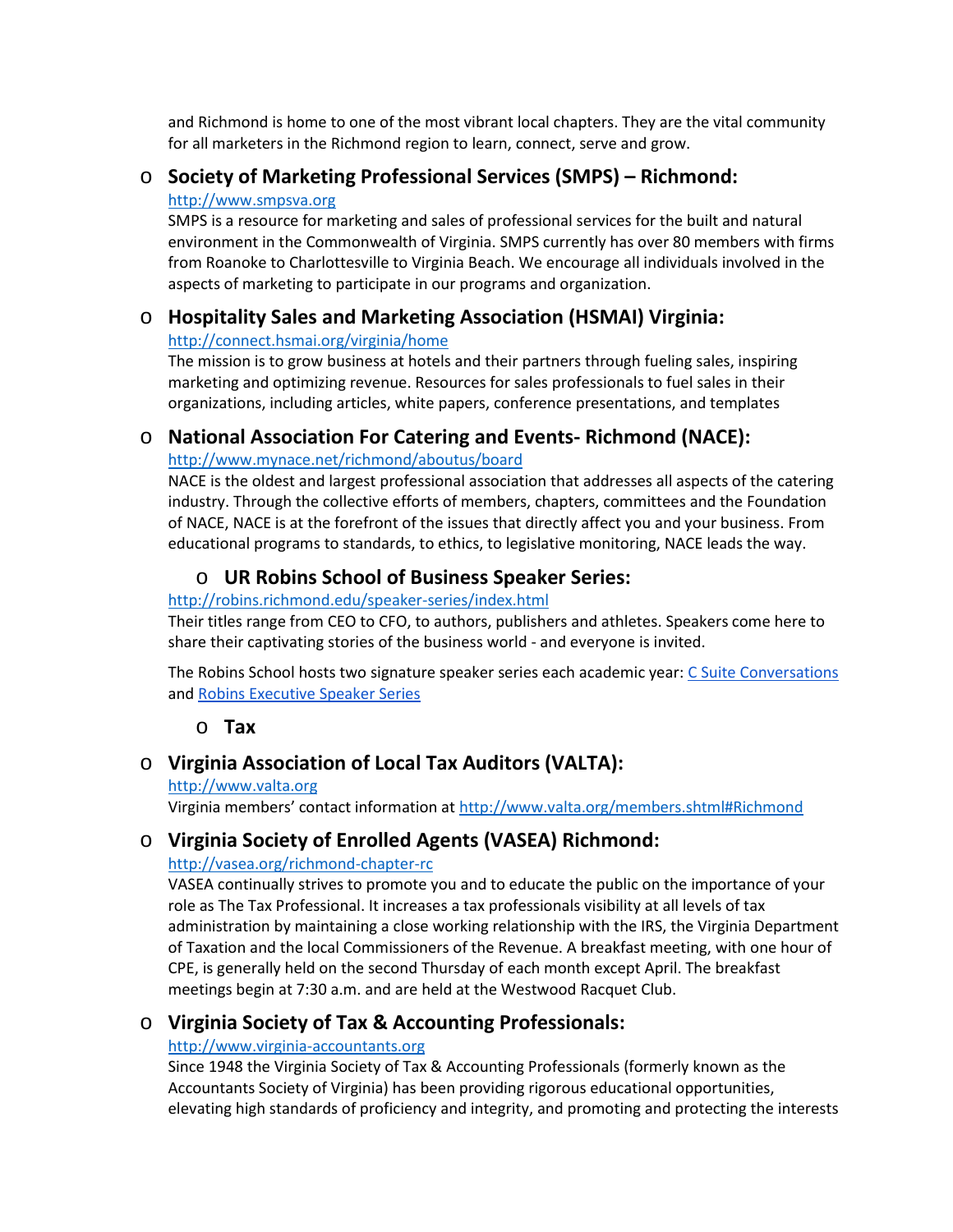and Richmond is home to one of the most vibrant local chapters. They are the vital community for all marketers in the Richmond region to learn, connect, serve and grow.

### o **Society of Marketing Professional Services (SMPS) – Richmond:**

#### [http://www.smpsva.org](http://www.smpsva.org/)

SMPS is a resource for marketing and sales of professional services for the built and natural environment in the Commonwealth of Virginia. SMPS currently has over 80 members with firms from Roanoke to Charlottesville to Virginia Beach. We encourage all individuals involved in the aspects of marketing to participate in our programs and organization.

### o **Hospitality Sales and Marketing Association (HSMAI) Virginia:**

#### <http://connect.hsmai.org/virginia/home>

The mission is to grow business at hotels and their partners through fueling sales, inspiring marketing and optimizing revenue. Resources for sales professionals to fuel sales in their organizations, including articles, white papers, conference presentations, and templates

### o **National Association For Catering and Events- Richmond (NACE):**

#### <http://www.mynace.net/richmond/aboutus/board>

NACE is the oldest and largest professional association that addresses all aspects of the catering industry. Through the collective efforts of members, chapters, committees and the Foundation of NACE, NACE is at the forefront of the issues that directly affect you and your business. From educational programs to standards, to ethics, to legislative monitoring, NACE leads the way.

# o **UR Robins School of Business Speaker Series:**

#### <http://robins.richmond.edu/speaker-series/index.html>

Their titles range from CEO to CFO, to authors, publishers and athletes. Speakers come here to share their captivating stories of the business world - and everyone is invited.

The Robins School hosts two signature speaker series each academic year: [C Suite Conversations](http://robins.richmond.edu/speaker-series/c-suite-conversations.html) and [Robins Executive Speaker Series](http://robins.richmond.edu/speaker-series/robins-executive-speaker-series.html)

## o **Tax**

# o **Virginia Association of Local Tax Auditors (VALTA):**

#### [http://www.valta.org](http://www.valta.org/)

Virginia members' contact information at <http://www.valta.org/members.shtml#Richmond>

# o **Virginia Society of Enrolled Agents (VASEA) Richmond:**

### [http://vasea.org/richmond-chapter-rc](http://vasea.org/richmond-chapter-rc/)

VASEA continually strives to promote you and to educate the public on the importance of your role as The Tax Professional. It increases a tax professionals visibility at all levels of tax administration by maintaining a close working relationship with the IRS, the Virginia Department of Taxation and the local Commissioners of the Revenue. A breakfast meeting, with one hour of CPE, is generally held on the second Thursday of each month except April. The breakfast meetings begin at 7:30 a.m. and are held at the Westwood Racquet Club.

## o **Virginia Society of Tax & Accounting Professionals:**

### [http://www.virginia-accountants.org](http://www.virginia-accountants.org/)

Since 1948 the Virginia Society of Tax & Accounting Professionals (formerly known as the Accountants Society of Virginia) has been providing rigorous educational opportunities, elevating high standards of proficiency and integrity, and promoting and protecting the interests